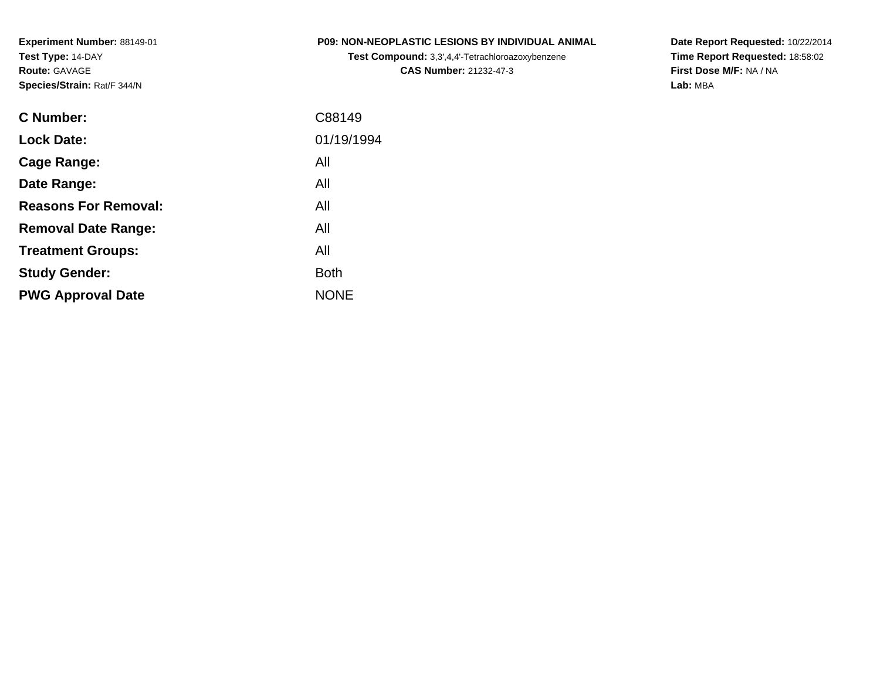**Experiment Number:** 88149-01**Test Type:** 14-DAY**Route:** GAVAGE**Species/Strain:** Rat/F 344/N

| <b>P09: NON-NEOPLASTIC LESIONS BY INDIVIDUAL ANIMAL</b> |
|---------------------------------------------------------|
|---------------------------------------------------------|

**Test Compound:** 3,3',4,4'-Tetrachloroazoxybenzene**CAS Number:** 21232-47-3

**Date Report Requested:** 10/22/2014 **Time Report Requested:** 18:58:02**First Dose M/F:** NA / NA**Lab:** MBA

| <b>C</b> Number:            | C88149      |
|-----------------------------|-------------|
| <b>Lock Date:</b>           | 01/19/1994  |
| Cage Range:                 | All         |
| Date Range:                 | All         |
| <b>Reasons For Removal:</b> | All         |
| <b>Removal Date Range:</b>  | All         |
| <b>Treatment Groups:</b>    | All         |
| <b>Study Gender:</b>        | <b>Both</b> |
| <b>PWG Approval Date</b>    | <b>NONE</b> |
|                             |             |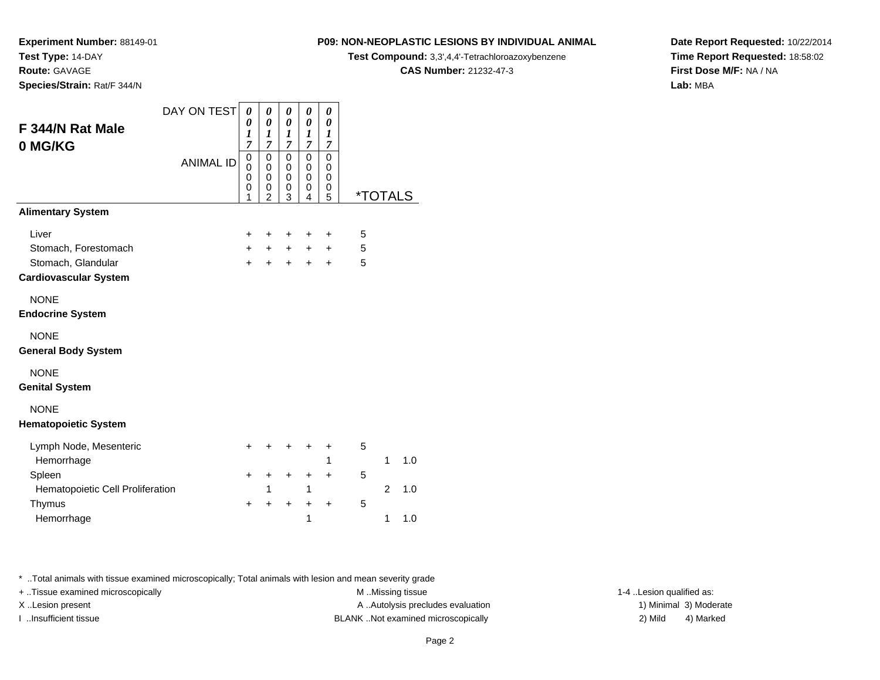**Route:** GAVAGE

**Species/Strain:** Rat/F 344/N

### **P09: NON-NEOPLASTIC LESIONS BY INDIVIDUAL ANIMAL**

**Test Compound:** 3,3',4,4'-Tetrachloroazoxybenzene

**CAS Number:** 21232-47-3

**Date Report Requested:** 10/22/2014**Time Report Requested:** 18:58:02**First Dose M/F:** NA / NA**Lab:** MBA

| F 344/N Rat Male<br>0 MG/KG                | DAY ON TEST<br><b>ANIMAL ID</b> | 0<br>0<br>1<br>7<br>0<br>0<br>0<br>0<br>1 | 0<br>$\boldsymbol{\theta}$<br>$\boldsymbol{l}$<br>$\overline{7}$<br>0<br>0<br>$\mathbf 0$<br>0<br>$\overline{2}$ | 0<br>0<br>1<br>$\overline{7}$<br>$\mathbf 0$<br>0<br>$\mathbf 0$<br>0<br>3 | 0<br>0<br>1<br>$\overline{7}$<br>0<br>0<br>$\mathbf 0$<br>0<br>4 | 0<br>0<br>1<br>7<br>$\mathbf 0$<br>0<br>$\mathbf 0$<br>0<br>5 | *TOTALS |                |     |
|--------------------------------------------|---------------------------------|-------------------------------------------|------------------------------------------------------------------------------------------------------------------|----------------------------------------------------------------------------|------------------------------------------------------------------|---------------------------------------------------------------|---------|----------------|-----|
| <b>Alimentary System</b>                   |                                 |                                           |                                                                                                                  |                                                                            |                                                                  |                                                               |         |                |     |
| Liver                                      |                                 | +                                         | +                                                                                                                | +                                                                          | +                                                                | +                                                             | 5       |                |     |
| Stomach, Forestomach                       |                                 | $\ddot{}$                                 | $\ddot{}$                                                                                                        | $\pm$                                                                      | $\pm$                                                            | $\ddot{}$                                                     | 5       |                |     |
| Stomach, Glandular                         |                                 | $+$                                       | $\ddot{}$                                                                                                        | $+$                                                                        | $\ddot{}$                                                        | $\ddot{}$                                                     | 5       |                |     |
| <b>Cardiovascular System</b>               |                                 |                                           |                                                                                                                  |                                                                            |                                                                  |                                                               |         |                |     |
| <b>NONE</b>                                |                                 |                                           |                                                                                                                  |                                                                            |                                                                  |                                                               |         |                |     |
| <b>Endocrine System</b>                    |                                 |                                           |                                                                                                                  |                                                                            |                                                                  |                                                               |         |                |     |
| <b>NONE</b><br><b>General Body System</b>  |                                 |                                           |                                                                                                                  |                                                                            |                                                                  |                                                               |         |                |     |
| <b>NONE</b><br><b>Genital System</b>       |                                 |                                           |                                                                                                                  |                                                                            |                                                                  |                                                               |         |                |     |
| <b>NONE</b><br><b>Hematopoietic System</b> |                                 |                                           |                                                                                                                  |                                                                            |                                                                  |                                                               |         |                |     |
| Lymph Node, Mesenteric                     |                                 | $\pm$                                     | +                                                                                                                | +                                                                          | +                                                                | +                                                             | 5       |                |     |
| Hemorrhage                                 |                                 |                                           |                                                                                                                  |                                                                            |                                                                  | 1                                                             |         | 1              | 1.0 |
| Spleen                                     |                                 | $\ddot{}$                                 | $\ddot{}$                                                                                                        | $\ddot{}$                                                                  | $\ddot{}$                                                        | $\ddot{}$                                                     | 5       |                |     |
| Hematopoietic Cell Proliferation<br>Thymus |                                 | $\ddot{}$                                 | 1<br>$\ddot{}$                                                                                                   | $\ddot{}$                                                                  | 1                                                                | $\ddot{}$                                                     | 5       | $\overline{2}$ | 1.0 |
| Hemorrhage                                 |                                 |                                           |                                                                                                                  |                                                                            | +<br>1                                                           |                                                               |         | 1              | 1.0 |

\* ..Total animals with tissue examined microscopically; Total animals with lesion and mean severity grade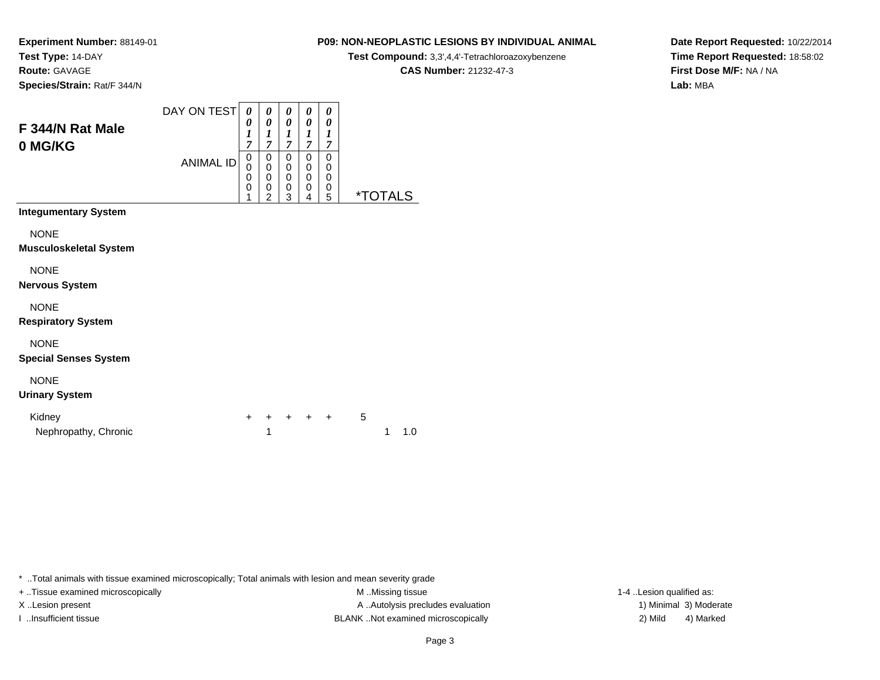**Route:** GAVAGE

**Species/Strain:** Rat/F 344/N

# **P09: NON-NEOPLASTIC LESIONS BY INDIVIDUAL ANIMAL**

**Test Compound:** 3,3',4,4'-Tetrachloroazoxybenzene

**CAS Number:** 21232-47-3

**Date Report Requested:** 10/22/2014**Time Report Requested:** 18:58:02**First Dose M/F:** NA / NA**Lab:** MBA

| F 344/N Rat Male<br>0 MG/KG                | DAY ON TEST<br><b>ANIMAL ID</b> | 0<br>0<br>1<br>7<br>0<br>0<br>0<br>0 | 0<br>0<br>7<br>0<br>0<br>0<br>0<br>າ | 0<br>0<br>1<br>7<br>0<br>0<br>0<br>$\mathbf 0$ | 0<br>0<br>1<br>7<br>0<br>0<br>0<br>$\mathbf 0$ | 0<br>0<br>7<br>0<br>0<br>0<br>0 | <i><b>*TOTALS</b></i> |
|--------------------------------------------|---------------------------------|--------------------------------------|--------------------------------------|------------------------------------------------|------------------------------------------------|---------------------------------|-----------------------|
| <b>Integumentary System</b><br><b>NONE</b> |                                 |                                      |                                      |                                                |                                                |                                 |                       |
| Museulaskalatal Cystam                     |                                 |                                      |                                      | 3                                              | 4                                              | 5                               |                       |

**Musculoskeletal System**

NONE

**Nervous System**

NONE

**Respiratory System**

NONE

**Special Senses System**

NONE

### **Urinary System**

| Kidney               |  | + + + + + |  |  |               |
|----------------------|--|-----------|--|--|---------------|
| Nephropathy, Chronic |  |           |  |  | $1 \quad 1.0$ |

\* ..Total animals with tissue examined microscopically; Total animals with lesion and mean severity grade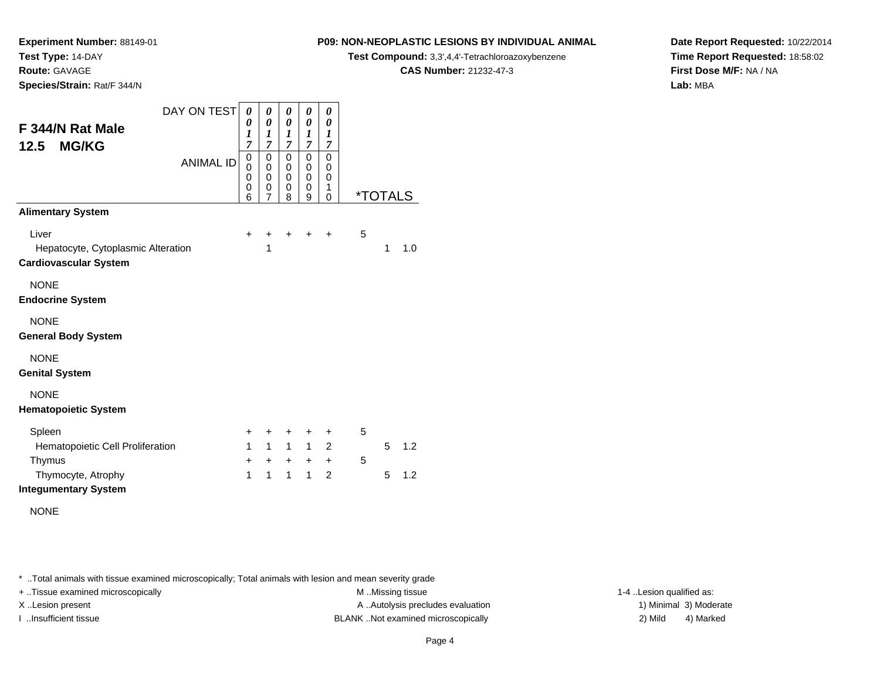**Route:** GAVAGE

**Species/Strain:** Rat/F 344/N

# **P09: NON-NEOPLASTIC LESIONS BY INDIVIDUAL ANIMAL**

**Test Compound:** 3,3',4,4'-Tetrachloroazoxybenzene

**CAS Number:** 21232-47-3

**Date Report Requested:** 10/22/2014**Time Report Requested:** 18:58:02**First Dose M/F:** NA / NA**Lab:** MBA

| DAY ON TEST                        | 0            | 0              | 0                   | 0                          | 0         |   |                       |     |
|------------------------------------|--------------|----------------|---------------------|----------------------------|-----------|---|-----------------------|-----|
| F 344/N Rat Male                   | 0<br>1       | 0<br>1         | $\pmb{\theta}$<br>1 | $\boldsymbol{\theta}$<br>1 | 0<br>1    |   |                       |     |
| <b>MG/KG</b><br>12.5               | 7            | 7              | 7                   | 7                          | 7         |   |                       |     |
| <b>ANIMAL ID</b>                   | 0<br>0       | 0<br>0         | $\mathbf 0$<br>0    | 0<br>0                     | 0<br>0    |   |                       |     |
|                                    | 0<br>0       | 0<br>0         | 0<br>0              | 0<br>0                     | 0<br>1    |   |                       |     |
|                                    | 6            | $\overline{7}$ | 8                   | 9                          | 0         |   | <i><b>*TOTALS</b></i> |     |
| <b>Alimentary System</b>           |              |                |                     |                            |           |   |                       |     |
| Liver                              | $\ddot{}$    | +              | ٠                   | ٠                          | ٠         | 5 |                       |     |
| Hepatocyte, Cytoplasmic Alteration |              | 1              |                     |                            |           |   | 1                     | 1.0 |
| <b>Cardiovascular System</b>       |              |                |                     |                            |           |   |                       |     |
| <b>NONE</b>                        |              |                |                     |                            |           |   |                       |     |
| <b>Endocrine System</b>            |              |                |                     |                            |           |   |                       |     |
| <b>NONE</b>                        |              |                |                     |                            |           |   |                       |     |
| <b>General Body System</b>         |              |                |                     |                            |           |   |                       |     |
| <b>NONE</b>                        |              |                |                     |                            |           |   |                       |     |
| <b>Genital System</b>              |              |                |                     |                            |           |   |                       |     |
| <b>NONE</b>                        |              |                |                     |                            |           |   |                       |     |
| <b>Hematopoietic System</b>        |              |                |                     |                            |           |   |                       |     |
| Spleen                             | +            | +              | +                   | ÷                          | ÷         | 5 |                       |     |
| Hematopoietic Cell Proliferation   | $\mathbf{1}$ | $\mathbf{1}$   | $\mathbf{1}$        | $\mathbf{1}$               | 2         |   | 5                     | 1.2 |
| Thymus                             | $\ddot{}$    | $\ddot{}$      | $+$                 | $\ddot{}$                  | $\ddot{}$ | 5 |                       |     |
| Thymocyte, Atrophy                 | 1            | $\mathbf{1}$   | $\mathbf{1}$        | $\mathbf{1}$               | 2         |   | 5                     | 1.2 |
| <b>Integumentary System</b>        |              |                |                     |                            |           |   |                       |     |
| <b>NONE</b>                        |              |                |                     |                            |           |   |                       |     |

\* ..Total animals with tissue examined microscopically; Total animals with lesion and mean severity grade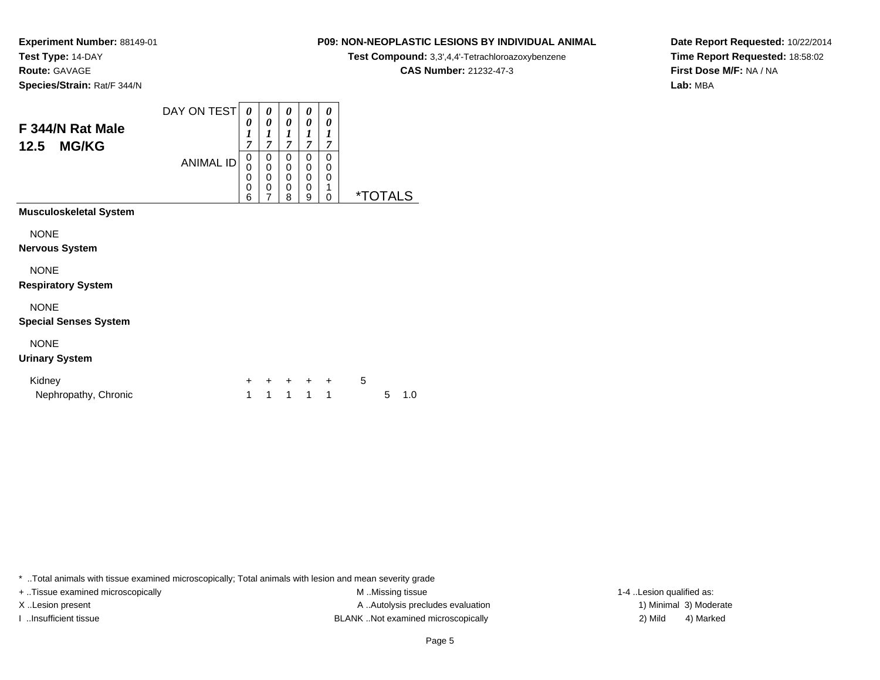**Route:** GAVAGE

**Species/Strain:** Rat/F 344/N

# **P09: NON-NEOPLASTIC LESIONS BY INDIVIDUAL ANIMAL**

**Test Compound:** 3,3',4,4'-Tetrachloroazoxybenzene

**CAS Number:** 21232-47-3

**Date Report Requested:** 10/22/2014**Time Report Requested:** 18:58:02**First Dose M/F:** NA / NA**Lab:** MBA

| F 344/N Rat Male<br><b>MG/KG</b><br>12.5    | DAY ON TEST<br><b>ANIMAL ID</b> | 0<br>0<br>1<br>7<br>0<br>0<br>0<br>0<br>6 | 0<br>0<br>1<br>$\overline{7}$<br>0<br>0<br>0<br>0<br>$\overline{7}$ | 0<br>0<br>1<br>$\overline{7}$<br>0<br>$\mathbf 0$<br>$\mathbf 0$<br>0<br>8 | 0<br>0<br>1<br>7<br>0<br>0<br>0<br>0<br>9 | 0<br>0<br>$\boldsymbol{l}$<br>$\overline{7}$<br>0<br>0<br>$\mathbf 0$<br>1<br>0 |   | <i><b>*TOTALS</b></i> |     |  |
|---------------------------------------------|---------------------------------|-------------------------------------------|---------------------------------------------------------------------|----------------------------------------------------------------------------|-------------------------------------------|---------------------------------------------------------------------------------|---|-----------------------|-----|--|
| <b>Musculoskeletal System</b>               |                                 |                                           |                                                                     |                                                                            |                                           |                                                                                 |   |                       |     |  |
| <b>NONE</b><br><b>Nervous System</b>        |                                 |                                           |                                                                     |                                                                            |                                           |                                                                                 |   |                       |     |  |
| <b>NONE</b><br><b>Respiratory System</b>    |                                 |                                           |                                                                     |                                                                            |                                           |                                                                                 |   |                       |     |  |
| <b>NONE</b><br><b>Special Senses System</b> |                                 |                                           |                                                                     |                                                                            |                                           |                                                                                 |   |                       |     |  |
| <b>NONE</b><br><b>Urinary System</b>        |                                 |                                           |                                                                     |                                                                            |                                           |                                                                                 |   |                       |     |  |
| Kidney<br>Nephropathy, Chronic              |                                 | $\ddot{}$<br>1                            | $\pm$<br>1                                                          | $+$<br>1                                                                   | $+$<br>$\mathbf{1}$                       | $+$<br>1                                                                        | 5 | 5                     | 1.0 |  |

\* ..Total animals with tissue examined microscopically; Total animals with lesion and mean severity grade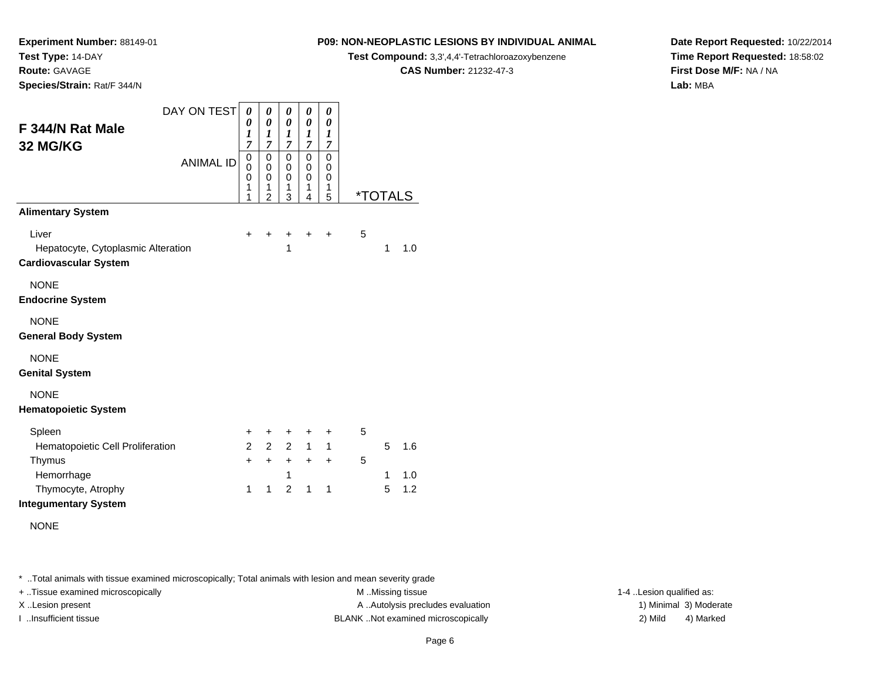**Route:** GAVAGE

**Species/Strain:** Rat/F 344/N

# **P09: NON-NEOPLASTIC LESIONS BY INDIVIDUAL ANIMAL**

**Test Compound:** 3,3',4,4'-Tetrachloroazoxybenzene

**CAS Number:** 21232-47-3

**Date Report Requested:** 10/22/2014**Time Report Requested:** 18:58:02**First Dose M/F:** NA / NA**Lab:** MBA

| DAY ON TEST<br>F 344/N Rat Male                                             | 0<br>0<br>$\boldsymbol{l}$                        | 0<br>0<br>$\boldsymbol{l}$                        | 0<br>0<br>1                                       | 0<br>0<br>1                          | 0<br>0<br>$\boldsymbol{l}$ |   |                       |            |
|-----------------------------------------------------------------------------|---------------------------------------------------|---------------------------------------------------|---------------------------------------------------|--------------------------------------|----------------------------|---|-----------------------|------------|
| 32 MG/KG<br><b>ANIMAL ID</b>                                                | $\overline{7}$<br>0<br>$\mathbf 0$<br>0<br>1<br>1 | 7<br>$\mathbf 0$<br>0<br>0<br>1<br>$\mathfrak{p}$ | $\overline{7}$<br>0<br>$\mathbf 0$<br>0<br>1<br>3 | 7<br>0<br>$\mathbf 0$<br>0<br>1<br>4 | 7<br>0<br>0<br>0<br>1<br>5 |   | <i><b>*TOTALS</b></i> |            |
| <b>Alimentary System</b>                                                    |                                                   |                                                   |                                                   |                                      |                            |   |                       |            |
| Liver<br>Hepatocyte, Cytoplasmic Alteration<br><b>Cardiovascular System</b> | $\ddot{}$                                         | +                                                 | +<br>1                                            | $\ddot{}$                            | $\ddot{}$                  | 5 | $\mathbf{1}$          | 1.0        |
| <b>NONE</b><br><b>Endocrine System</b>                                      |                                                   |                                                   |                                                   |                                      |                            |   |                       |            |
| <b>NONE</b><br><b>General Body System</b>                                   |                                                   |                                                   |                                                   |                                      |                            |   |                       |            |
| <b>NONE</b><br><b>Genital System</b>                                        |                                                   |                                                   |                                                   |                                      |                            |   |                       |            |
| <b>NONE</b><br><b>Hematopoietic System</b>                                  |                                                   |                                                   |                                                   |                                      |                            |   |                       |            |
| Spleen                                                                      | +                                                 | +                                                 | +                                                 | +                                    | $\ddot{}$                  | 5 |                       |            |
| Hematopoietic Cell Proliferation                                            | $\mathcal{P}$                                     | 2                                                 | $\overline{2}$                                    | 1                                    | $\mathbf{1}$               |   | 5                     | 1.6        |
| Thymus<br>Hemorrhage<br>Thymocyte, Atrophy                                  | $+$<br>$\mathbf 1$                                | $+$<br>$\mathbf 1$                                | $+$<br>1<br>$\mathfrak{p}$                        | $+$<br>$\mathbf{1}$                  | $\ddot{}$<br>$\mathbf 1$   | 5 | 1<br>5                | 1.0<br>1.2 |
| <b>Integumentary System</b>                                                 |                                                   |                                                   |                                                   |                                      |                            |   |                       |            |
| <b>NONE</b>                                                                 |                                                   |                                                   |                                                   |                                      |                            |   |                       |            |

\* ..Total animals with tissue examined microscopically; Total animals with lesion and mean severity grade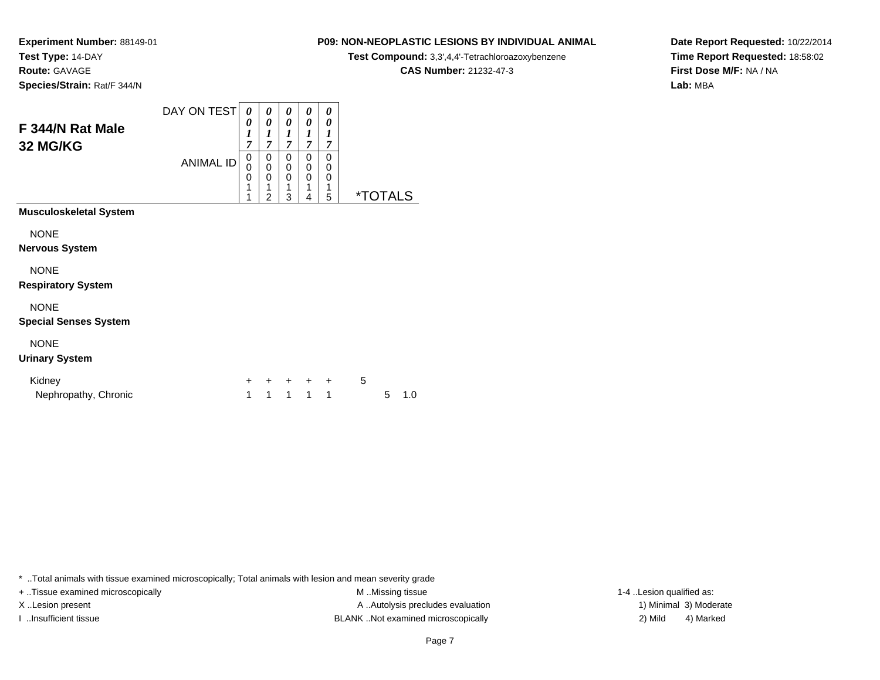**Experiment Number:** 88149-01**Test Type:** 14-DAY**Route:** GAVAGE

**Species/Strain:** Rat/F 344/N

### **P09: NON-NEOPLASTIC LESIONS BY INDIVIDUAL ANIMAL**

**Test Compound:** 3,3',4,4'-Tetrachloroazoxybenzene

**CAS Number:** 21232-47-3

**Date Report Requested:** 10/22/2014**Time Report Requested:** 18:58:02**First Dose M/F:** NA / NA**Lab:** MBA

| F 344/N Rat Male<br>32 MG/KG                | DAY ON TEST<br><b>ANIMAL ID</b> | 0<br>0<br>1<br>7<br>0<br>$\mathbf 0$<br>0<br>1<br>1 | 0<br>0<br>1<br>7<br>0<br>0<br>0<br>1<br>$\overline{2}$ | 0<br>0<br>1<br>7<br>0<br>$\mathbf 0$<br>$\mathbf 0$<br>1<br>3 | 0<br>0<br>1<br>$\overline{7}$<br>0<br>$\mathbf 0$<br>0<br>1<br>4 | 0<br>0<br>1<br>$\overline{7}$<br>0<br>0<br>0<br>1<br>5 |   | <i><b>*TOTALS</b></i> |     |  |
|---------------------------------------------|---------------------------------|-----------------------------------------------------|--------------------------------------------------------|---------------------------------------------------------------|------------------------------------------------------------------|--------------------------------------------------------|---|-----------------------|-----|--|
| <b>Musculoskeletal System</b>               |                                 |                                                     |                                                        |                                                               |                                                                  |                                                        |   |                       |     |  |
| <b>NONE</b><br><b>Nervous System</b>        |                                 |                                                     |                                                        |                                                               |                                                                  |                                                        |   |                       |     |  |
| <b>NONE</b><br><b>Respiratory System</b>    |                                 |                                                     |                                                        |                                                               |                                                                  |                                                        |   |                       |     |  |
| <b>NONE</b><br><b>Special Senses System</b> |                                 |                                                     |                                                        |                                                               |                                                                  |                                                        |   |                       |     |  |
| <b>NONE</b><br><b>Urinary System</b>        |                                 |                                                     |                                                        |                                                               |                                                                  |                                                        |   |                       |     |  |
| Kidney<br>Nephropathy, Chronic              |                                 | +<br>1                                              | $\ddot{}$<br>1                                         | $\ddot{}$<br>1                                                | $+$ $-$<br>1                                                     | $\ddot{}$<br>1                                         | 5 | 5                     | 1.0 |  |

\* ..Total animals with tissue examined microscopically; Total animals with lesion and mean severity grade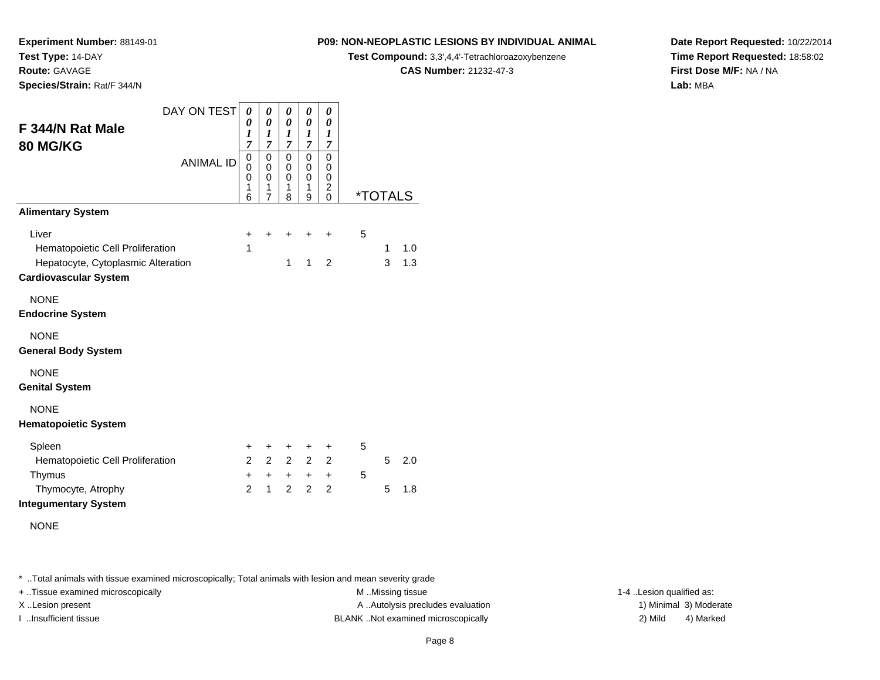**Route:** GAVAGE

**Species/Strain:** Rat/F 344/N

# **P09: NON-NEOPLASTIC LESIONS BY INDIVIDUAL ANIMAL**

**Test Compound:** 3,3',4,4'-Tetrachloroazoxybenzene

**CAS Number:** 21232-47-3

**Date Report Requested:** 10/22/2014**Time Report Requested:** 18:58:02**First Dose M/F:** NA / NA**Lab:** MBA

| DAY ON TEST                        | 0                     | 0                     | 0                     | 0                | 0                   |                       |   |     |
|------------------------------------|-----------------------|-----------------------|-----------------------|------------------|---------------------|-----------------------|---|-----|
| F 344/N Rat Male                   | 0<br>$\boldsymbol{l}$ | 0<br>$\boldsymbol{l}$ | 0<br>$\boldsymbol{l}$ | 0<br>1           | 0<br>1              |                       |   |     |
| 80 MG/KG                           | $\overline{7}$        | $\overline{7}$        | $\overline{7}$        | $\overline{7}$   | $\overline{7}$      |                       |   |     |
| <b>ANIMAL ID</b>                   | $\mathbf 0$<br>0      | $\mathbf 0$<br>0      | $\mathbf 0$<br>0      | $\mathbf 0$<br>0 | 0<br>0              |                       |   |     |
|                                    | 0<br>1                | $\mathbf 0$<br>1      | $\Omega$<br>1         | 0<br>1           | 0<br>$\overline{c}$ |                       |   |     |
|                                    | 6                     | $\overline{7}$        | 8                     | 9                | $\mathbf 0$         | <i><b>*TOTALS</b></i> |   |     |
| <b>Alimentary System</b>           |                       |                       |                       |                  |                     |                       |   |     |
| Liver                              | +                     | +                     | +                     | ÷                | $\ddot{}$           | 5                     |   |     |
| Hematopoietic Cell Proliferation   | 1                     |                       |                       |                  |                     |                       | 1 | 1.0 |
| Hepatocyte, Cytoplasmic Alteration |                       |                       | 1                     | $\mathbf{1}$     | $\overline{2}$      |                       | 3 | 1.3 |
| <b>Cardiovascular System</b>       |                       |                       |                       |                  |                     |                       |   |     |
| <b>NONE</b>                        |                       |                       |                       |                  |                     |                       |   |     |
| <b>Endocrine System</b>            |                       |                       |                       |                  |                     |                       |   |     |
| <b>NONE</b>                        |                       |                       |                       |                  |                     |                       |   |     |
| <b>General Body System</b>         |                       |                       |                       |                  |                     |                       |   |     |
| <b>NONE</b>                        |                       |                       |                       |                  |                     |                       |   |     |
| <b>Genital System</b>              |                       |                       |                       |                  |                     |                       |   |     |
| <b>NONE</b>                        |                       |                       |                       |                  |                     |                       |   |     |
| <b>Hematopoietic System</b>        |                       |                       |                       |                  |                     |                       |   |     |
| Spleen                             | +                     | +                     | +                     | +                | +                   | 5                     |   |     |
| Hematopoietic Cell Proliferation   | $\overline{2}$        | $\overline{2}$        | $2^{\circ}$           | $2^{\circ}$      | $\overline{2}$      |                       | 5 | 2.0 |
| Thymus                             | $\ddot{}$             | $+$                   | $+$                   | $+$              | $+$                 | 5                     |   |     |
| Thymocyte, Atrophy                 | $\mathfrak{p}$        | $\mathbf{1}$          | $\mathcal{P}$         | $\mathcal{P}$    | 2                   |                       | 5 | 1.8 |
| <b>Integumentary System</b>        |                       |                       |                       |                  |                     |                       |   |     |
| <b>NONE</b>                        |                       |                       |                       |                  |                     |                       |   |     |
|                                    |                       |                       |                       |                  |                     |                       |   |     |

\* ..Total animals with tissue examined microscopically; Total animals with lesion and mean severity grade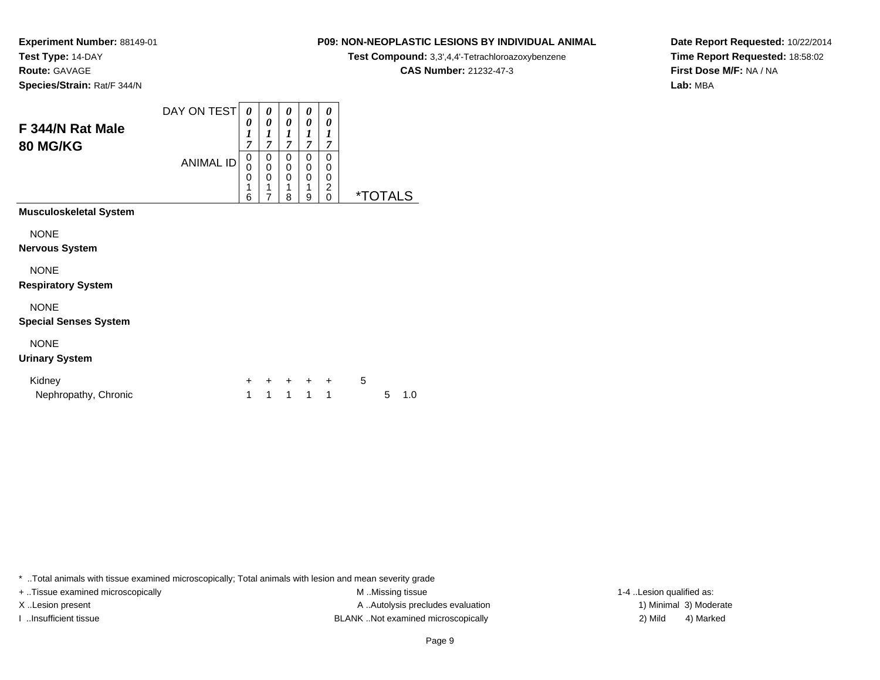**Experiment Number:** 88149-01**Test Type:** 14-DAY**Route:** GAVAGE

**Species/Strain:** Rat/F 344/N

### **P09: NON-NEOPLASTIC LESIONS BY INDIVIDUAL ANIMAL**

**Test Compound:** 3,3',4,4'-Tetrachloroazoxybenzene

**CAS Number:** 21232-47-3

**Date Report Requested:** 10/22/2014**Time Report Requested:** 18:58:02**First Dose M/F:** NA / NA**Lab:** MBA

| F 344/N Rat Male<br><b>80 MG/KG</b>         | DAY ON TEST<br><b>ANIMAL ID</b> | 0<br>0<br>$\boldsymbol{l}$<br>7<br>0<br>$\mathbf 0$<br>0<br>1<br>6 | 0<br>0<br>1<br>$\overline{7}$<br>0<br>0<br>0<br>1<br>$\overline{7}$ | 0<br>0<br>1<br>7<br>0<br>$\mathbf 0$<br>$\mathbf 0$<br>1<br>8 | 0<br>0<br>1<br>7<br>0<br>0<br>0<br>1<br>9 | 0<br>0<br>1<br>7<br>$\Omega$<br>0<br>0<br>$\overline{c}$<br>$\Omega$ |   | <i><b>*TOTALS</b></i> |     |
|---------------------------------------------|---------------------------------|--------------------------------------------------------------------|---------------------------------------------------------------------|---------------------------------------------------------------|-------------------------------------------|----------------------------------------------------------------------|---|-----------------------|-----|
| <b>Musculoskeletal System</b>               |                                 |                                                                    |                                                                     |                                                               |                                           |                                                                      |   |                       |     |
| <b>NONE</b><br><b>Nervous System</b>        |                                 |                                                                    |                                                                     |                                                               |                                           |                                                                      |   |                       |     |
| <b>NONE</b><br><b>Respiratory System</b>    |                                 |                                                                    |                                                                     |                                                               |                                           |                                                                      |   |                       |     |
| <b>NONE</b><br><b>Special Senses System</b> |                                 |                                                                    |                                                                     |                                                               |                                           |                                                                      |   |                       |     |
| <b>NONE</b><br><b>Urinary System</b>        |                                 |                                                                    |                                                                     |                                                               |                                           |                                                                      |   |                       |     |
| Kidney<br>Nephropathy, Chronic              |                                 | $\ddot{}$<br>1                                                     | $\ddot{}$<br>1                                                      | +<br>1                                                        | $+$<br>1                                  | $\ddot{}$<br>$\mathbf{1}$                                            | 5 | 5                     | 1.0 |

\* ..Total animals with tissue examined microscopically; Total animals with lesion and mean severity grade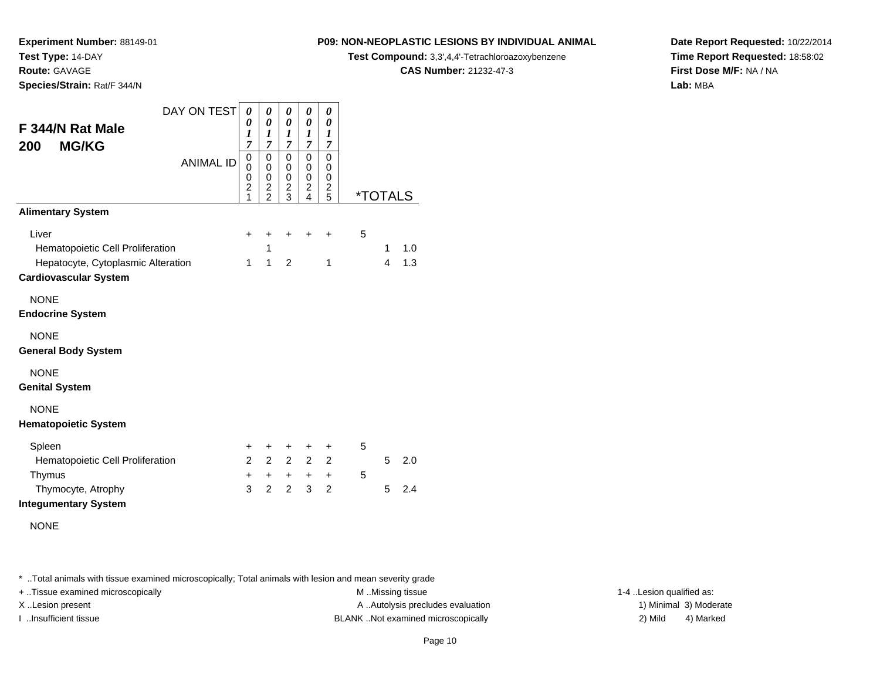**Experiment Number:** 88149-01

**Test Type:** 14-DAY

**Route:** GAVAGE

**Species/Strain:** Rat/F 344/N

# **P09: NON-NEOPLASTIC LESIONS BY INDIVIDUAL ANIMAL**

**Test Compound:** 3,3',4,4'-Tetrachloroazoxybenzene

**CAS Number:** 21232-47-3

**Date Report Requested:** 10/22/2014**Time Report Requested:** 18:58:02**First Dose M/F:** NA / NA**Lab:** MBA

| DAY ON TEST                        | 0                             | 0                            | 0                             | 0              | 0                            |   |                       |     |
|------------------------------------|-------------------------------|------------------------------|-------------------------------|----------------|------------------------------|---|-----------------------|-----|
| F 344/N Rat Male                   | 0<br>$\boldsymbol{l}$         | 0<br>$\boldsymbol{l}$        | 0<br>$\boldsymbol{l}$         | 0<br>1         | 0<br>$\boldsymbol{l}$        |   |                       |     |
| <b>MG/KG</b><br>200                | $\overline{7}$                | $\overline{7}$               | $\overline{7}$                | $\overline{7}$ | 7                            |   |                       |     |
| <b>ANIMAL ID</b>                   | 0<br>$\mathbf 0$              | 0<br>$\mathbf 0$             | 0<br>$\mathbf 0$              | 0<br>0         | 0<br>0                       |   |                       |     |
|                                    | $\mathbf 0$<br>$\overline{c}$ | 0<br>$\overline{\mathbf{c}}$ | $\mathbf 0$<br>$\overline{c}$ | 0<br>2         | 0<br>$\overline{\mathbf{c}}$ |   |                       |     |
|                                    | 1                             | $\overline{2}$               | 3                             | $\overline{4}$ | 5                            |   | <i><b>*TOTALS</b></i> |     |
| <b>Alimentary System</b>           |                               |                              |                               |                |                              |   |                       |     |
| Liver                              | +                             | +                            | $\ddot{}$                     | ÷              | ÷                            | 5 |                       |     |
| Hematopoietic Cell Proliferation   |                               | $\mathbf{1}$                 |                               |                |                              |   | 1                     | 1.0 |
| Hepatocyte, Cytoplasmic Alteration | 1                             | $\mathbf{1}$                 | 2                             |                | 1                            |   | 4                     | 1.3 |
| <b>Cardiovascular System</b>       |                               |                              |                               |                |                              |   |                       |     |
| <b>NONE</b>                        |                               |                              |                               |                |                              |   |                       |     |
| <b>Endocrine System</b>            |                               |                              |                               |                |                              |   |                       |     |
| <b>NONE</b>                        |                               |                              |                               |                |                              |   |                       |     |
| <b>General Body System</b>         |                               |                              |                               |                |                              |   |                       |     |
| <b>NONE</b>                        |                               |                              |                               |                |                              |   |                       |     |
| <b>Genital System</b>              |                               |                              |                               |                |                              |   |                       |     |
| <b>NONE</b>                        |                               |                              |                               |                |                              |   |                       |     |
| <b>Hematopoietic System</b>        |                               |                              |                               |                |                              |   |                       |     |
| Spleen                             | +                             | +                            | +                             | +              | +                            | 5 |                       |     |
| Hematopoietic Cell Proliferation   | $\overline{2}$                | $\overline{2}$               | $\overline{2}$                | $\overline{2}$ | 2                            |   | 5                     | 2.0 |
| Thymus                             | $\ddot{}$                     | $+$                          | $+$                           | $+$            | $\ddot{}$                    | 5 |                       |     |
| Thymocyte, Atrophy                 | 3                             | 2                            | $\overline{2}$                | 3              | 2                            |   | 5                     | 2.4 |
| <b>Integumentary System</b>        |                               |                              |                               |                |                              |   |                       |     |
| <b>NONE</b>                        |                               |                              |                               |                |                              |   |                       |     |
|                                    |                               |                              |                               |                |                              |   |                       |     |

\* ..Total animals with tissue examined microscopically; Total animals with lesion and mean severity grade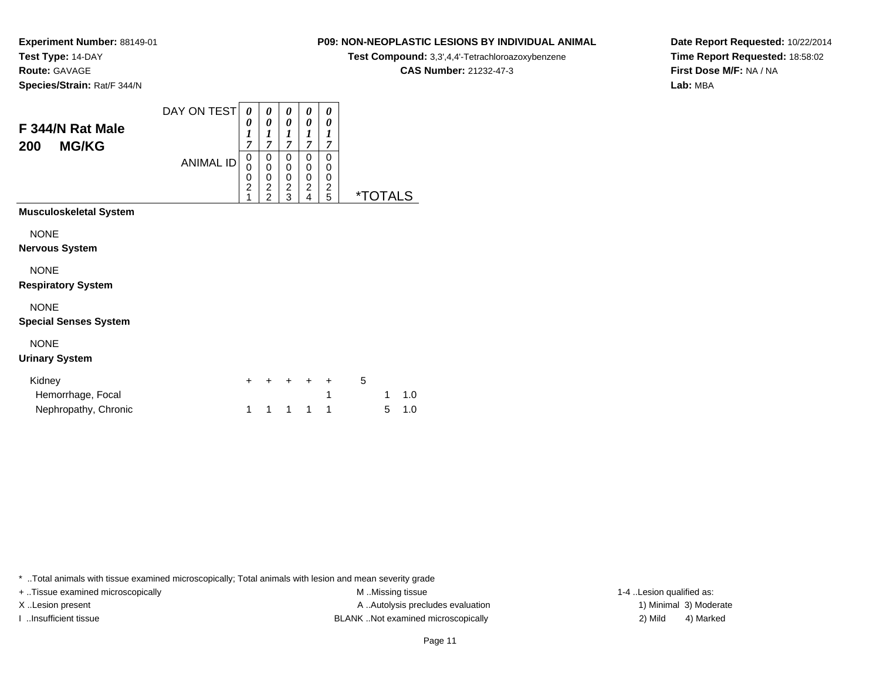**Route:** GAVAGE

**Species/Strain:** Rat/F 344/N

# **P09: NON-NEOPLASTIC LESIONS BY INDIVIDUAL ANIMAL**

**Test Compound:** 3,3',4,4'-Tetrachloroazoxybenzene

**CAS Number:** 21232-47-3

**Date Report Requested:** 10/22/2014**Time Report Requested:** 18:58:02**First Dose M/F:** NA / NA**Lab:** MBA

| F 344/N Rat Male<br><b>MG/KG</b><br>200     | DAY ON TEST<br><b>ANIMAL ID</b> | 0<br>0<br>$\boldsymbol{l}$<br>7<br>0<br>0<br>0<br>$\overline{c}$<br>1 | 0<br>$\boldsymbol{\theta}$<br>$\boldsymbol{l}$<br>7<br>0<br>$\mathbf 0$<br>$\mathbf 0$<br>$\frac{2}{2}$ | 0<br>0<br>1<br>$\overline{7}$<br>0<br>$\mathbf 0$<br>0<br>$\frac{2}{3}$ | 0<br>0<br>1<br>$\overline{7}$<br>0<br>0<br>0<br>$\overline{\mathbf{c}}$<br>4 | 0<br>0<br>1<br>7<br>$\mathbf{0}$<br>$\mathbf 0$<br>0<br>$\frac{2}{5}$ |   | <i><b>*TOTALS</b></i> |     |
|---------------------------------------------|---------------------------------|-----------------------------------------------------------------------|---------------------------------------------------------------------------------------------------------|-------------------------------------------------------------------------|------------------------------------------------------------------------------|-----------------------------------------------------------------------|---|-----------------------|-----|
| <b>Musculoskeletal System</b>               |                                 |                                                                       |                                                                                                         |                                                                         |                                                                              |                                                                       |   |                       |     |
| <b>NONE</b><br><b>Nervous System</b>        |                                 |                                                                       |                                                                                                         |                                                                         |                                                                              |                                                                       |   |                       |     |
| <b>NONE</b><br><b>Respiratory System</b>    |                                 |                                                                       |                                                                                                         |                                                                         |                                                                              |                                                                       |   |                       |     |
| <b>NONE</b><br><b>Special Senses System</b> |                                 |                                                                       |                                                                                                         |                                                                         |                                                                              |                                                                       |   |                       |     |
| <b>NONE</b><br><b>Urinary System</b>        |                                 |                                                                       |                                                                                                         |                                                                         |                                                                              |                                                                       |   |                       |     |
| Kidney                                      |                                 | $\ddot{}$                                                             | +                                                                                                       |                                                                         | $\ddot{}$                                                                    | $\ddot{}$                                                             | 5 |                       |     |
| Hemorrhage, Focal                           |                                 |                                                                       |                                                                                                         |                                                                         |                                                                              | 1                                                                     |   | 1                     | 1.0 |
| Nephropathy, Chronic                        |                                 | 1                                                                     | 1                                                                                                       | 1                                                                       | 1                                                                            | 1                                                                     |   | 5                     | 1.0 |

\* ..Total animals with tissue examined microscopically; Total animals with lesion and mean severity grade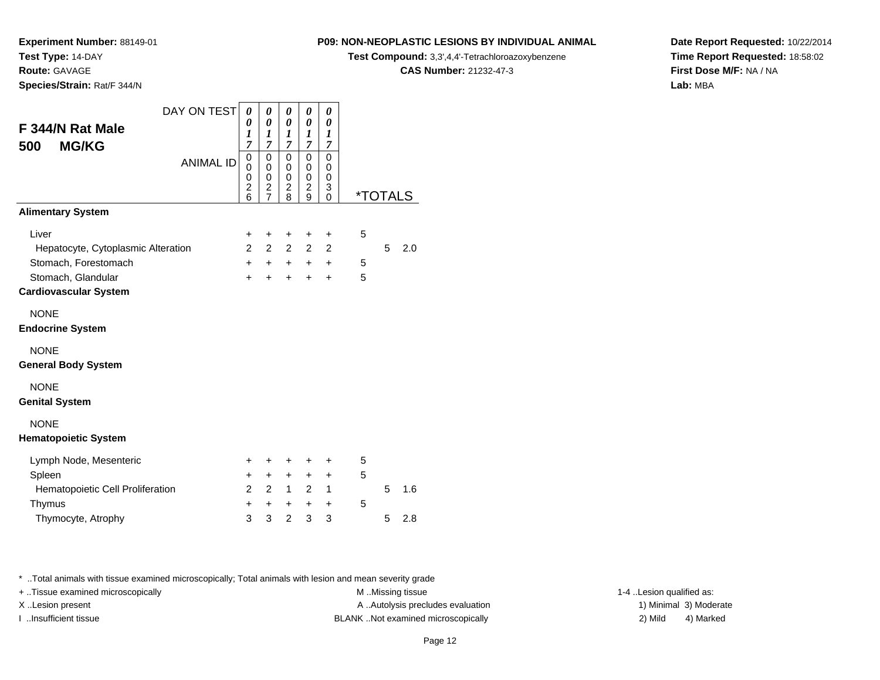**Route:** GAVAGE

**Species/Strain:** Rat/F 344/N

**P09: NON-NEOPLASTIC LESIONS BY INDIVIDUAL ANIMAL**

**Test Compound:** 3,3',4,4'-Tetrachloroazoxybenzene

**CAS Number:** 21232-47-3

**Date Report Requested:** 10/22/2014**Time Report Requested:** 18:58:02**First Dose M/F:** NA / NA**Lab:** MBA

| DAY ON TEST                        | 0                   | 0                   | 0                   | 0                   | 0              |   |   |                       |
|------------------------------------|---------------------|---------------------|---------------------|---------------------|----------------|---|---|-----------------------|
| F 344/N Rat Male                   | 0<br>1              | 0<br>1              | 0<br>1              | 0<br>1              | 0<br>1         |   |   |                       |
| <b>MG/KG</b><br>500                | $\overline{7}$      | 7                   | 7<br>$\mathbf 0$    | 7                   | 7<br>0         |   |   |                       |
| <b>ANIMAL ID</b>                   | 0<br>0              | 0<br>0              | 0                   | 0<br>0              | 0              |   |   |                       |
|                                    | 0<br>$\overline{c}$ | 0<br>$\overline{c}$ | 0<br>$\overline{c}$ | 0<br>$\overline{c}$ | 0<br>3         |   |   |                       |
|                                    | 6                   | $\overline{7}$      | 8                   | 9                   | 0              |   |   | <i><b>*TOTALS</b></i> |
| <b>Alimentary System</b>           |                     |                     |                     |                     |                |   |   |                       |
| Liver                              | +                   | +                   | +                   | +                   | $\ddot{}$      | 5 |   |                       |
| Hepatocyte, Cytoplasmic Alteration | $\mathcal{P}$       | 2                   | $\overline{2}$      | $\overline{2}$      | $\overline{2}$ |   | 5 | 2.0                   |
| Stomach, Forestomach               | $+$                 | $+$                 | $+$                 | $+$                 | $\ddot{}$      | 5 |   |                       |
| Stomach, Glandular                 | $+$                 | $\ddot{}$           | $\ddot{}$           | $\ddot{}$           | $\ddot{}$      | 5 |   |                       |
| <b>Cardiovascular System</b>       |                     |                     |                     |                     |                |   |   |                       |
| <b>NONE</b>                        |                     |                     |                     |                     |                |   |   |                       |
| <b>Endocrine System</b>            |                     |                     |                     |                     |                |   |   |                       |
| <b>NONE</b>                        |                     |                     |                     |                     |                |   |   |                       |
| <b>General Body System</b>         |                     |                     |                     |                     |                |   |   |                       |
| <b>NONE</b>                        |                     |                     |                     |                     |                |   |   |                       |
| <b>Genital System</b>              |                     |                     |                     |                     |                |   |   |                       |
| <b>NONE</b>                        |                     |                     |                     |                     |                |   |   |                       |
| <b>Hematopoietic System</b>        |                     |                     |                     |                     |                |   |   |                       |
| Lymph Node, Mesenteric             | $\pm$               | +                   | +                   | +                   | +              | 5 |   |                       |
| Spleen                             | $\ddot{}$           | $+$                 | $\ddot{}$           | $\ddot{}$           | +              | 5 |   |                       |
| Hematopoietic Cell Proliferation   | $\overline{2}$      | $\overline{2}$      | $\mathbf{1}$        | $\overline{2}$      | 1              |   | 5 | 1.6                   |
| Thymus                             | $\ddot{}$           | $\ddot{}$           | $\ddot{}$           | $\ddot{}$           | $\ddot{}$      | 5 |   |                       |
| Thymocyte, Atrophy                 | 3                   | 3                   | 2                   | 3                   | 3              |   | 5 | 2.8                   |

\* ..Total animals with tissue examined microscopically; Total animals with lesion and mean severity grade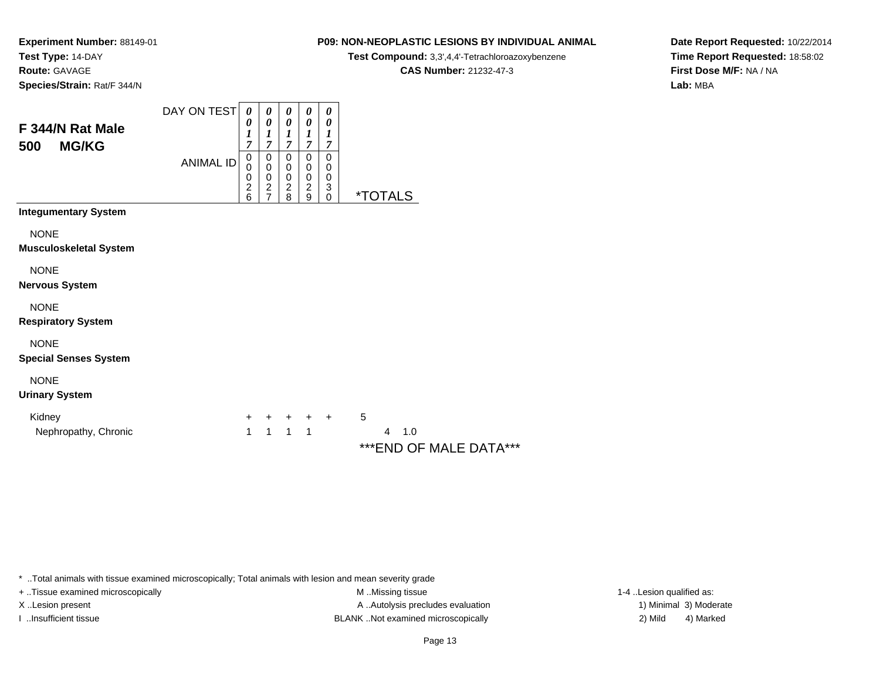**Route:** GAVAGE

**Species/Strain:** Rat/F 344/N

# **P09: NON-NEOPLASTIC LESIONS BY INDIVIDUAL ANIMAL**

**Test Compound:** 3,3',4,4'-Tetrachloroazoxybenzene

**CAS Number:** 21232-47-3

**Date Report Requested:** 10/22/2014**Time Report Requested:** 18:58:02**First Dose M/F:** NA / NA**Lab:** MBA

| F 344/N Rat Male<br><b>MG/KG</b><br>500      | DAY ON TEST<br><b>ANIMAL ID</b> | 0<br>0<br>$\boldsymbol{l}$<br>7<br>$\pmb{0}$<br>0<br>0 | 0<br>$\boldsymbol{\theta}$<br>$\boldsymbol{l}$<br>$\overline{7}$<br>0<br>$\pmb{0}$<br>$\pmb{0}$ | 0<br>$\pmb{\theta}$<br>$\boldsymbol{l}$<br>$\overline{7}$<br>0<br>$\,0\,$<br>$\pmb{0}$ | 0<br>$\boldsymbol{\theta}$<br>$\boldsymbol{l}$<br>$\overline{7}$<br>0<br>$\pmb{0}$<br>$\pmb{0}$ | 0<br>$\boldsymbol{\theta}$<br>$\boldsymbol{l}$<br>$\overline{7}$<br>0<br>0<br>0 |                                                      |
|----------------------------------------------|---------------------------------|--------------------------------------------------------|-------------------------------------------------------------------------------------------------|----------------------------------------------------------------------------------------|-------------------------------------------------------------------------------------------------|---------------------------------------------------------------------------------|------------------------------------------------------|
|                                              |                                 | $\boldsymbol{2}$<br>6                                  | $\frac{2}{7}$                                                                                   | $\boldsymbol{2}$<br>8                                                                  | $\boldsymbol{2}$<br>9                                                                           | $\ensuremath{\mathsf{3}}$<br>$\mathbf 0$                                        | <i><b>*TOTALS</b></i>                                |
| <b>Integumentary System</b>                  |                                 |                                                        |                                                                                                 |                                                                                        |                                                                                                 |                                                                                 |                                                      |
| <b>NONE</b><br><b>Musculoskeletal System</b> |                                 |                                                        |                                                                                                 |                                                                                        |                                                                                                 |                                                                                 |                                                      |
| <b>NONE</b><br><b>Nervous System</b>         |                                 |                                                        |                                                                                                 |                                                                                        |                                                                                                 |                                                                                 |                                                      |
| <b>NONE</b><br><b>Respiratory System</b>     |                                 |                                                        |                                                                                                 |                                                                                        |                                                                                                 |                                                                                 |                                                      |
| <b>NONE</b><br><b>Special Senses System</b>  |                                 |                                                        |                                                                                                 |                                                                                        |                                                                                                 |                                                                                 |                                                      |
| <b>NONE</b><br><b>Urinary System</b>         |                                 |                                                        |                                                                                                 |                                                                                        |                                                                                                 |                                                                                 |                                                      |
| Kidney<br>Nephropathy, Chronic               |                                 | $\ddot{}$<br>1                                         | +<br>$\mathbf{1}$                                                                               | $+$<br>$\mathbf{1}$                                                                    | $+$ $+$<br>$\mathbf{1}$                                                                         |                                                                                 | 5<br>$\overline{4}$<br>1.0<br>***END OF MALE DATA*** |

\* ..Total animals with tissue examined microscopically; Total animals with lesion and mean severity grade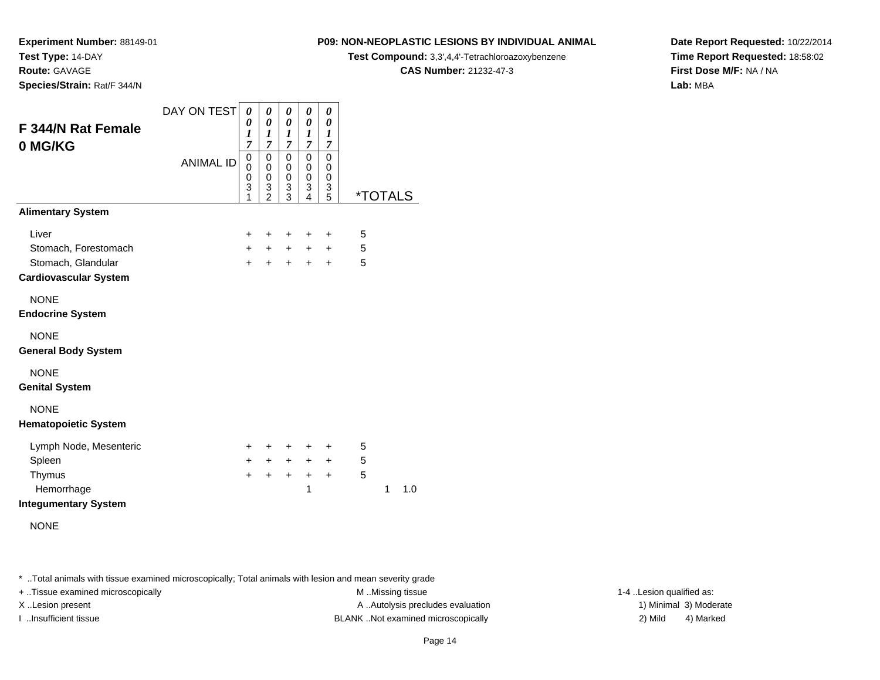**Route:** GAVAGE

**Species/Strain:** Rat/F 344/N

# **P09: NON-NEOPLASTIC LESIONS BY INDIVIDUAL ANIMAL**

**Test Compound:** 3,3',4,4'-Tetrachloroazoxybenzene

**CAS Number:** 21232-47-3

**Date Report Requested:** 10/22/2014**Time Report Requested:** 18:58:02**First Dose M/F:** NA / NA**Lab:** MBA

| F 344/N Rat Female<br>0 MG/KG              | DAY ON TEST<br><b>ANIMAL ID</b> | 0<br>0<br>1<br>$\overline{7}$<br>0<br>$\Omega$<br>$\mathbf 0$<br>3<br>1 | 0<br>$\boldsymbol{\theta}$<br>$\boldsymbol{l}$<br>$\overline{7}$<br>0<br>$\mathbf 0$<br>0<br>$\ensuremath{\mathsf{3}}$<br>$\overline{2}$ | 0<br>0<br>1<br>$\overline{7}$<br>0<br>0<br>0<br>3<br>3 | 0<br>$\pmb{\theta}$<br>$\boldsymbol{l}$<br>$\overline{7}$<br>0<br>0<br>0<br>3<br>4 | 0<br>0<br>1<br>$\overline{7}$<br>0<br>0<br>$\mathbf 0$<br>3<br>5 | <i><b>*TOTALS</b></i> |
|--------------------------------------------|---------------------------------|-------------------------------------------------------------------------|------------------------------------------------------------------------------------------------------------------------------------------|--------------------------------------------------------|------------------------------------------------------------------------------------|------------------------------------------------------------------|-----------------------|
| <b>Alimentary System</b>                   |                                 |                                                                         |                                                                                                                                          |                                                        |                                                                                    |                                                                  |                       |
| Liver                                      |                                 | +                                                                       | +                                                                                                                                        | +                                                      | +                                                                                  | +                                                                | 5                     |
| Stomach, Forestomach                       |                                 | $\ddot{}$                                                               | $\ddot{}$                                                                                                                                | $+$                                                    | $\ddot{}$                                                                          | $\pm$                                                            | 5                     |
| Stomach, Glandular                         |                                 | $\ddot{}$                                                               | $\ddot{}$                                                                                                                                | $+$                                                    | $\ddot{}$                                                                          | $\ddot{}$                                                        | 5                     |
| <b>Cardiovascular System</b>               |                                 |                                                                         |                                                                                                                                          |                                                        |                                                                                    |                                                                  |                       |
| <b>NONE</b><br><b>Endocrine System</b>     |                                 |                                                                         |                                                                                                                                          |                                                        |                                                                                    |                                                                  |                       |
| <b>NONE</b><br><b>General Body System</b>  |                                 |                                                                         |                                                                                                                                          |                                                        |                                                                                    |                                                                  |                       |
| <b>NONE</b><br><b>Genital System</b>       |                                 |                                                                         |                                                                                                                                          |                                                        |                                                                                    |                                                                  |                       |
| <b>NONE</b><br><b>Hematopoietic System</b> |                                 |                                                                         |                                                                                                                                          |                                                        |                                                                                    |                                                                  |                       |
| Lymph Node, Mesenteric                     |                                 | +                                                                       | +                                                                                                                                        | ÷                                                      | +                                                                                  | ÷                                                                | 5                     |
| Spleen                                     |                                 | $\ddot{}$                                                               | $\ddot{}$                                                                                                                                | $+$                                                    | $+$                                                                                | $+$                                                              | 5                     |
| Thymus                                     |                                 | $\ddot{}$                                                               | $\ddot{}$                                                                                                                                | $\ddot{}$                                              | $\ddot{}$                                                                          | $\pm$                                                            | 5                     |
| Hemorrhage<br><b>Integumentary System</b>  |                                 |                                                                         |                                                                                                                                          |                                                        | 1                                                                                  |                                                                  | 1<br>1.0              |
| <b>NONE</b>                                |                                 |                                                                         |                                                                                                                                          |                                                        |                                                                                    |                                                                  |                       |

\* ..Total animals with tissue examined microscopically; Total animals with lesion and mean severity grade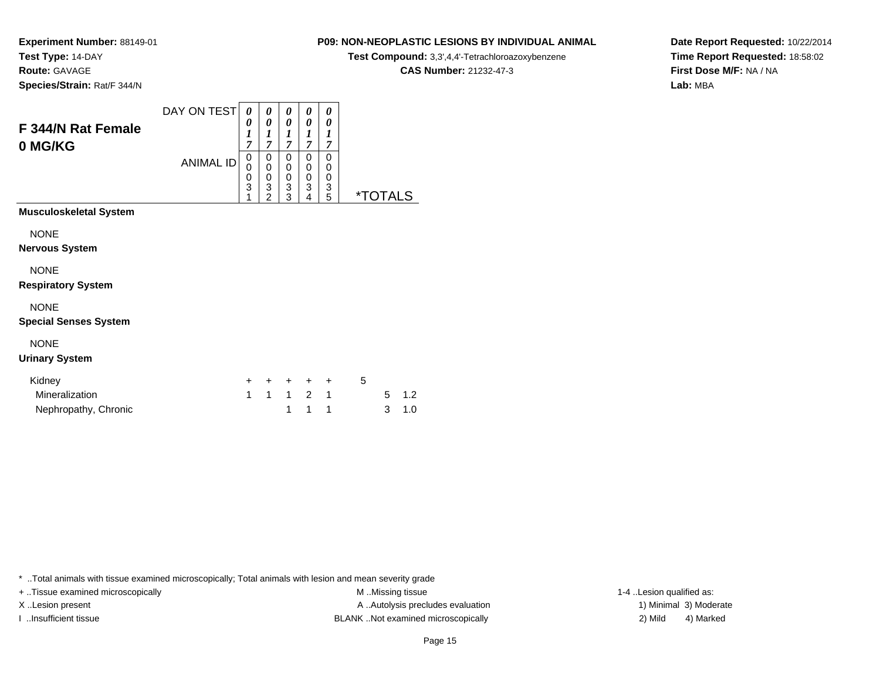**Route:** GAVAGE

**Species/Strain:** Rat/F 344/N

# **P09: NON-NEOPLASTIC LESIONS BY INDIVIDUAL ANIMAL**

**Test Compound:** 3,3',4,4'-Tetrachloroazoxybenzene

**CAS Number:** 21232-47-3

**Date Report Requested:** 10/22/2014**Time Report Requested:** 18:58:02**First Dose M/F:** NA / NA**Lab:** MBA

| <b>F344/N Rat Female</b><br>0 MG/KG         | DAY ON TEST      | 0<br>0<br>1<br>7 | 0<br>0<br>1<br>7                   | 0<br>0<br>1<br>7      | 0<br>0<br>1<br>$\overline{7}$ | 0<br>0<br>1<br>7      |                       |
|---------------------------------------------|------------------|------------------|------------------------------------|-----------------------|-------------------------------|-----------------------|-----------------------|
|                                             | <b>ANIMAL ID</b> | 0<br>0<br>0<br>3 | 0<br>0<br>0<br>3<br>$\overline{2}$ | 0<br>0<br>0<br>3<br>3 | 0<br>0<br>0<br>3<br>4         | 0<br>0<br>0<br>3<br>5 | <i><b>*TOTALS</b></i> |
| <b>Musculoskeletal System</b>               |                  |                  |                                    |                       |                               |                       |                       |
| <b>NONE</b><br><b>Nervous System</b>        |                  |                  |                                    |                       |                               |                       |                       |
| <b>NONE</b><br><b>Respiratory System</b>    |                  |                  |                                    |                       |                               |                       |                       |
| <b>NONE</b><br><b>Special Senses System</b> |                  |                  |                                    |                       |                               |                       |                       |
| <b>NONE</b><br><b>Urinary System</b>        |                  |                  |                                    |                       |                               |                       |                       |

| Kidney               |  | + + + + + |  |       |
|----------------------|--|-----------|--|-------|
| Mineralization       |  | 1 1 1 2 1 |  | 5 1.2 |
| Nephropathy, Chronic |  | 1 1 1     |  | 3 1.0 |

\* ..Total animals with tissue examined microscopically; Total animals with lesion and mean severity grade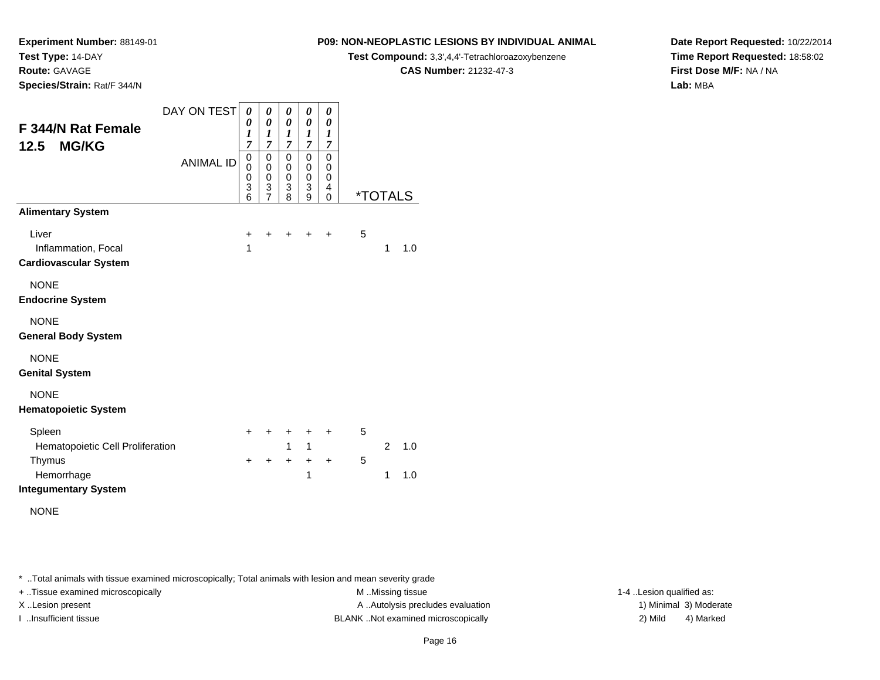**Route:** GAVAGE

**Species/Strain:** Rat/F 344/N

# **P09: NON-NEOPLASTIC LESIONS BY INDIVIDUAL ANIMAL**

**Test Compound:** 3,3',4,4'-Tetrachloroazoxybenzene

**CAS Number:** 21232-47-3

**Date Report Requested:** 10/22/2014**Time Report Requested:** 18:58:02**First Dose M/F:** NA / NA**Lab:** MBA

| F 344/N Rat Female<br><b>MG/KG</b><br>12.5<br><b>Alimentary System</b>                            | DAY ON TEST<br><b>ANIMAL ID</b> | 0<br>0<br>$\boldsymbol{l}$<br>$\overline{7}$<br>$\mathbf 0$<br>0<br>0<br>$\overline{3}$<br>6 | 0<br>$\boldsymbol{\theta}$<br>1<br>$\overline{7}$<br>0<br>$\mathbf 0$<br>$\mathbf 0$<br>$\frac{3}{7}$ | 0<br>0<br>$\boldsymbol{l}$<br>$\overline{7}$<br>$\pmb{0}$<br>$\mathsf 0$<br>$\mathbf 0$<br>$\overline{3}$<br>8 | 0<br>$\boldsymbol{\theta}$<br>1<br>$\overline{7}$<br>$\mathbf 0$<br>$\pmb{0}$<br>$\pmb{0}$<br>3<br>9 | 0<br>0<br>1<br>$\overline{7}$<br>$\mathbf 0$<br>0<br>0<br>4<br>0 |        | *TOTALS             |            |
|---------------------------------------------------------------------------------------------------|---------------------------------|----------------------------------------------------------------------------------------------|-------------------------------------------------------------------------------------------------------|----------------------------------------------------------------------------------------------------------------|------------------------------------------------------------------------------------------------------|------------------------------------------------------------------|--------|---------------------|------------|
| Liver<br>Inflammation, Focal<br><b>Cardiovascular System</b>                                      |                                 | $\ddot{}$<br>1                                                                               | $\ddot{}$                                                                                             | $\pm$                                                                                                          | $\ddot{}$                                                                                            | $\ddot{}$                                                        | 5      | 1                   | 1.0        |
| <b>NONE</b><br><b>Endocrine System</b>                                                            |                                 |                                                                                              |                                                                                                       |                                                                                                                |                                                                                                      |                                                                  |        |                     |            |
| <b>NONE</b><br><b>General Body System</b>                                                         |                                 |                                                                                              |                                                                                                       |                                                                                                                |                                                                                                      |                                                                  |        |                     |            |
| <b>NONE</b><br><b>Genital System</b>                                                              |                                 |                                                                                              |                                                                                                       |                                                                                                                |                                                                                                      |                                                                  |        |                     |            |
| <b>NONE</b><br><b>Hematopoietic System</b>                                                        |                                 |                                                                                              |                                                                                                       |                                                                                                                |                                                                                                      |                                                                  |        |                     |            |
| Spleen<br>Hematopoietic Cell Proliferation<br>Thymus<br>Hemorrhage<br><b>Integumentary System</b> |                                 | +<br>$\ddot{}$                                                                               | +<br>$\ddot{}$                                                                                        | $\pm$<br>$\mathbf{1}$<br>$\ddot{}$                                                                             | +<br>$\mathbf{1}$<br>$\ddot{}$<br>1                                                                  | +<br>$\ddot{}$                                                   | 5<br>5 | $\overline{2}$<br>1 | 1.0<br>1.0 |

NONE

\* ..Total animals with tissue examined microscopically; Total animals with lesion and mean severity grade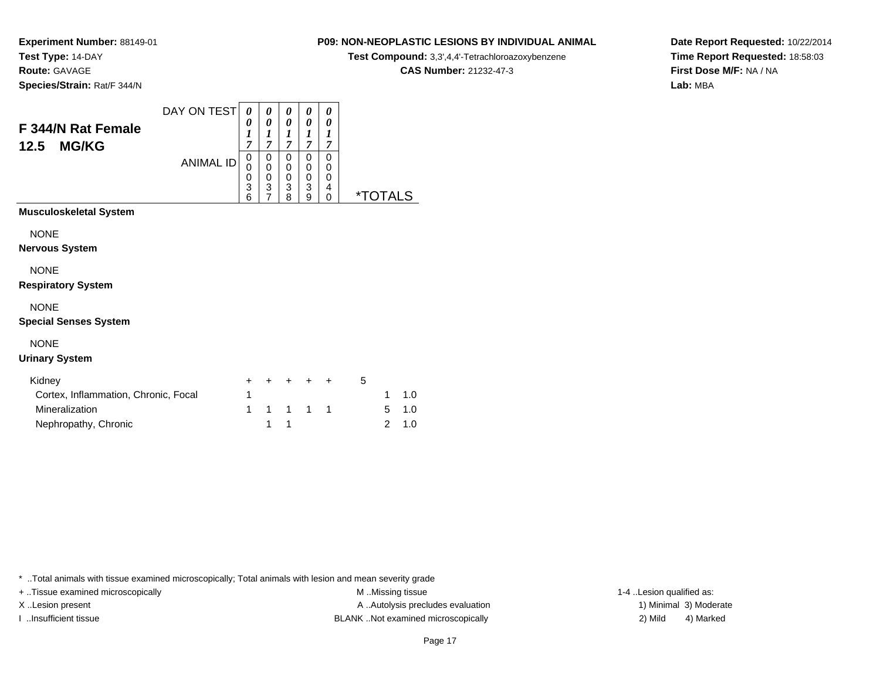# **Route:** GAVAGE

**Species/Strain:** Rat/F 344/N

# **P09: NON-NEOPLASTIC LESIONS BY INDIVIDUAL ANIMAL**

**Test Compound:** 3,3',4,4'-Tetrachloroazoxybenzene

**CAS Number:** 21232-47-3

**Date Report Requested:** 10/22/2014**Time Report Requested:** 18:58:03**First Dose M/F:** NA / NA**Lab:** MBA

| <b>F 344/N Rat Female</b><br><b>MG/KG</b><br>12.5 | DAY ON TEST      | 0<br>0<br>1<br>7      | 0<br>0<br>7      | 0<br>0<br>1<br>⇁      | 0<br>0<br>1<br>7                 | 0<br>0<br>7           |          |
|---------------------------------------------------|------------------|-----------------------|------------------|-----------------------|----------------------------------|-----------------------|----------|
|                                                   | <b>ANIMAL ID</b> | 0<br>0<br>0<br>3<br>6 | 0<br>0<br>0<br>3 | 0<br>0<br>0<br>3<br>8 | 0<br>0<br>0<br>3<br>$\mathbf{Q}$ | 0<br>0<br>0<br>4<br>0 | *.<br>-S |
| <b>Musculoskeletal System</b>                     |                  |                       |                  |                       |                                  |                       |          |

#### NONE

**Nervous System**

# NONE

#### **Respiratory System**

### NONE

### **Special Senses System**

# NONE

### **Urinary System**

| Kidney                               |  | + + + + + |  |  |               |
|--------------------------------------|--|-----------|--|--|---------------|
| Cortex, Inflammation, Chronic, Focal |  |           |  |  | $1 \quad 1.0$ |
| Mineralization                       |  | 1 1 1 1 1 |  |  | $5 \quad 1.0$ |
| Nephropathy, Chronic                 |  |           |  |  | 2 1.0         |

\* ..Total animals with tissue examined microscopically; Total animals with lesion and mean severity grade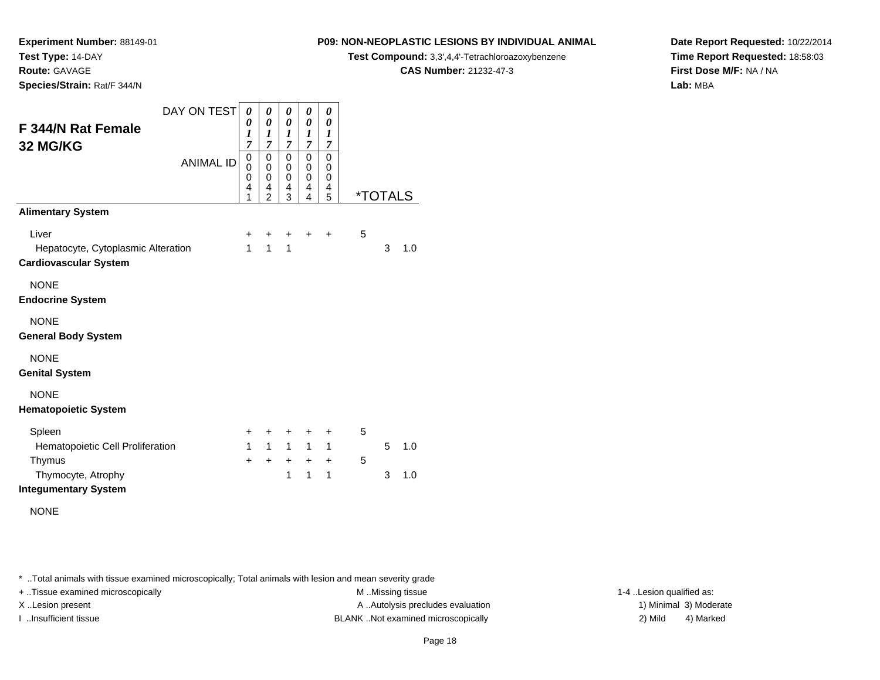**Route:** GAVAGE

**Species/Strain:** Rat/F 344/N

## **P09: NON-NEOPLASTIC LESIONS BY INDIVIDUAL ANIMAL**

**Test Compound:** 3,3',4,4'-Tetrachloroazoxybenzene

**CAS Number:** 21232-47-3

**Date Report Requested:** 10/22/2014**Time Report Requested:** 18:58:03**First Dose M/F:** NA / NA**Lab:** MBA

| DAY ON TEST                                                        | 0            | 0                   | 0                     | 0                   | 0                |   |                       |     |
|--------------------------------------------------------------------|--------------|---------------------|-----------------------|---------------------|------------------|---|-----------------------|-----|
| F 344/N Rat Female                                                 | 0<br>1       | 0<br>1              | 0<br>$\boldsymbol{l}$ | 0<br>1              | 0<br>1           |   |                       |     |
| 32 MG/KG                                                           | 7<br>0       | 7<br>$\mathbf 0$    | $\overline{7}$<br>0   | $\overline{7}$<br>0 | 7<br>$\mathbf 0$ |   |                       |     |
| <b>ANIMAL ID</b>                                                   | 0<br>0       | $\mathbf 0$<br>0    | 0<br>0                | 0<br>0              | 0<br>0           |   |                       |     |
|                                                                    | 4<br>1       | 4<br>$\overline{2}$ | 4<br>3                | 4<br>4              | 4<br>5           |   | <i><b>*TOTALS</b></i> |     |
| <b>Alimentary System</b>                                           |              |                     |                       |                     |                  |   |                       |     |
| Liver                                                              | +            | ٠                   | $\ddot{}$             | $\ddot{}$           | $\ddot{}$        | 5 |                       |     |
| Hepatocyte, Cytoplasmic Alteration<br><b>Cardiovascular System</b> | $\mathbf{1}$ | $\mathbf{1}$        | $\mathbf{1}$          |                     |                  |   | 3                     | 1.0 |
| <b>NONE</b><br><b>Endocrine System</b>                             |              |                     |                       |                     |                  |   |                       |     |
| <b>NONE</b>                                                        |              |                     |                       |                     |                  |   |                       |     |
| <b>General Body System</b>                                         |              |                     |                       |                     |                  |   |                       |     |
| <b>NONE</b>                                                        |              |                     |                       |                     |                  |   |                       |     |
| <b>Genital System</b>                                              |              |                     |                       |                     |                  |   |                       |     |
| <b>NONE</b>                                                        |              |                     |                       |                     |                  |   |                       |     |
| <b>Hematopoietic System</b>                                        |              |                     |                       |                     |                  |   |                       |     |
| Spleen                                                             | +            | +                   | +                     | ÷                   | ÷                | 5 |                       |     |
| Hematopoietic Cell Proliferation                                   | $\mathbf{1}$ | $\mathbf{1}$        | $\mathbf{1}$          | $\mathbf{1}$        | $\mathbf{1}$     |   | 5                     | 1.0 |
| Thymus<br>Thymocyte, Atrophy                                       | $\ddot{}$    | +                   | $\ddot{}$<br>1        | $+$<br>1            | $\ddot{}$<br>1   | 5 | 3                     | 1.0 |
| <b>Integumentary System</b>                                        |              |                     |                       |                     |                  |   |                       |     |
| <b>NONE</b>                                                        |              |                     |                       |                     |                  |   |                       |     |

\* ..Total animals with tissue examined microscopically; Total animals with lesion and mean severity grade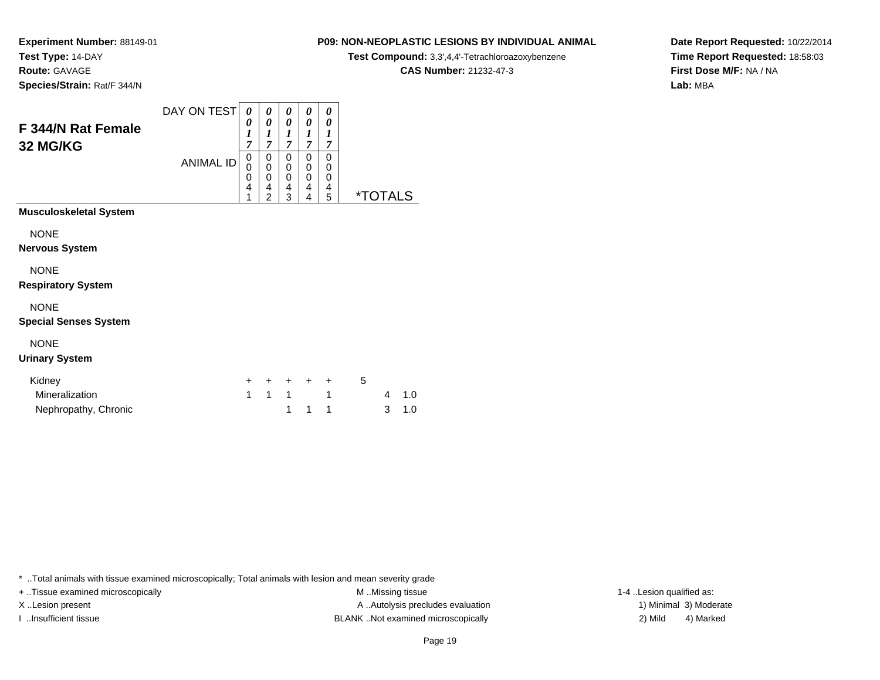**Experiment Number:** 88149-01**Test Type:** 14-DAY**Route:** GAVAGE

**Species/Strain:** Rat/F 344/N

## **P09: NON-NEOPLASTIC LESIONS BY INDIVIDUAL ANIMAL**

**Test Compound:** 3,3',4,4'-Tetrachloroazoxybenzene

**CAS Number:** 21232-47-3

**Date Report Requested:** 10/22/2014**Time Report Requested:** 18:58:03**First Dose M/F:** NA / NA**Lab:** MBA

| <b>F 344/N Rat Female</b><br>32 MG/KG       | DAY ON TEST      | 0<br>0<br>1<br>7      | 0<br>0<br>1<br>7                   | 0<br>0<br>1<br>7      | 0<br>0<br>1<br>7      | 0<br>0<br>1<br>7      |      |
|---------------------------------------------|------------------|-----------------------|------------------------------------|-----------------------|-----------------------|-----------------------|------|
|                                             | <b>ANIMAL ID</b> | 0<br>0<br>0<br>4<br>1 | 0<br>0<br>0<br>4<br>$\overline{2}$ | 0<br>0<br>0<br>4<br>3 | 0<br>0<br>0<br>4<br>4 | 0<br>0<br>0<br>4<br>5 | *TOT |
| <b>Musculoskeletal System</b>               |                  |                       |                                    |                       |                       |                       |      |
| <b>NONE</b>                                 |                  |                       |                                    |                       |                       |                       |      |
| <b>Nervous System</b>                       |                  |                       |                                    |                       |                       |                       |      |
| <b>NONE</b><br><b>Respiratory System</b>    |                  |                       |                                    |                       |                       |                       |      |
| <b>NONE</b><br><b>Special Senses System</b> |                  |                       |                                    |                       |                       |                       |      |

# NONE

#### **Urinary System**

| Kidney               |       | + + + + + |  |       |
|----------------------|-------|-----------|--|-------|
| Mineralization       | 1 1 1 |           |  | 4 1.0 |
| Nephropathy, Chronic |       | 1 1 1     |  | 3 1.0 |

\* ..Total animals with tissue examined microscopically; Total animals with lesion and mean severity grade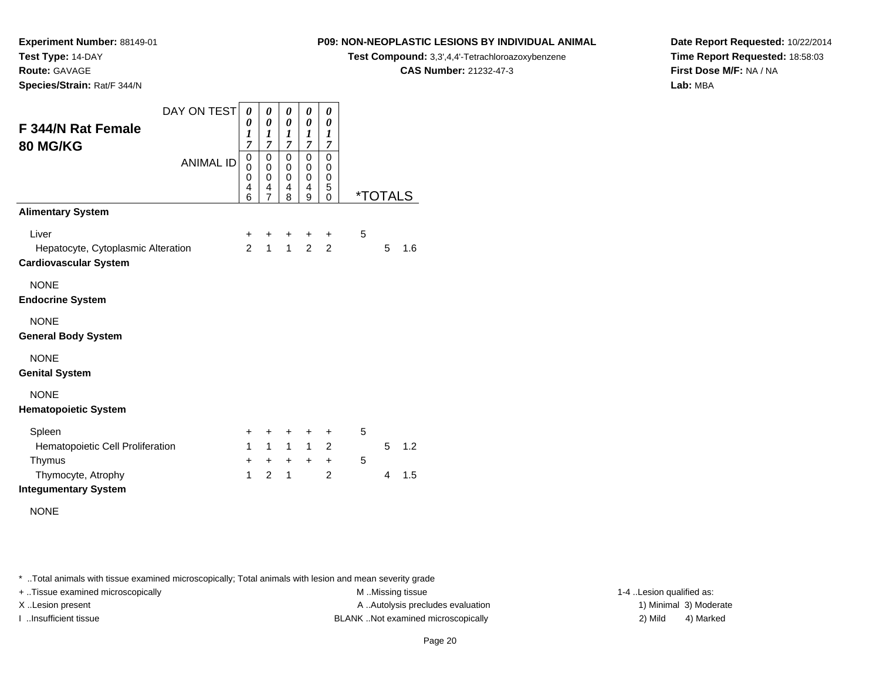**Route:** GAVAGE

**Species/Strain:** Rat/F 344/N

# **P09: NON-NEOPLASTIC LESIONS BY INDIVIDUAL ANIMAL**

**Test Compound:** 3,3',4,4'-Tetrachloroazoxybenzene

**CAS Number:** 21232-47-3

**Date Report Requested:** 10/22/2014**Time Report Requested:** 18:58:03**First Dose M/F:** NA / NA**Lab:** MBA

| <b>F 344/N Rat Female</b><br><b>80 MG/KG</b>                                | DAY ON TEST      | $\boldsymbol{\theta}$<br>0<br>1<br>$\overline{7}$ | 0<br>0<br>$\boldsymbol{l}$<br>$\overline{7}$ | 0<br>$\boldsymbol{\theta}$<br>1<br>7      | 0<br>0<br>1<br>$\overline{7}$ | 0<br>0<br>$\boldsymbol{l}$<br>$\overline{7}$ |   |                       |     |
|-----------------------------------------------------------------------------|------------------|---------------------------------------------------|----------------------------------------------|-------------------------------------------|-------------------------------|----------------------------------------------|---|-----------------------|-----|
|                                                                             | <b>ANIMAL ID</b> |                                                   | 0<br>$\pmb{0}$<br>0<br>4<br>$\overline{7}$   | $\mathbf 0$<br>$\mathbf 0$<br>0<br>4<br>8 | 0<br>0<br>0<br>4<br>9         | 0<br>0<br>0<br>5<br>0                        |   | <i><b>*TOTALS</b></i> |     |
| <b>Alimentary System</b>                                                    |                  |                                                   |                                              |                                           |                               |                                              |   |                       |     |
| Liver<br>Hepatocyte, Cytoplasmic Alteration<br><b>Cardiovascular System</b> |                  | +<br>$\overline{2}$                               | +<br>$\mathbf{1}$                            | +<br>$\mathbf{1}$                         | $\ddot{}$<br>$\overline{2}$   | $\ddot{}$<br>2                               | 5 | 5                     | 1.6 |
| <b>NONE</b><br><b>Endocrine System</b>                                      |                  |                                                   |                                              |                                           |                               |                                              |   |                       |     |
| <b>NONE</b><br><b>General Body System</b>                                   |                  |                                                   |                                              |                                           |                               |                                              |   |                       |     |
| <b>NONE</b><br><b>Genital System</b>                                        |                  |                                                   |                                              |                                           |                               |                                              |   |                       |     |
| <b>NONE</b><br><b>Hematopoietic System</b>                                  |                  |                                                   |                                              |                                           |                               |                                              |   |                       |     |
| Spleen                                                                      |                  | +                                                 | $\ddot{}$                                    | +                                         | +                             | +                                            | 5 |                       |     |
| Hematopoietic Cell Proliferation                                            |                  | $\mathbf{1}$                                      | $\mathbf{1}$                                 | $\mathbf{1}$                              | $\mathbf{1}$                  | $\overline{2}$                               |   | 5                     | 1.2 |
| Thymus<br>Thymocyte, Atrophy<br><b>Integumentary System</b>                 |                  | $\ddot{}$<br>1                                    | $\ddot{}$<br>$\overline{2}$                  | $+$<br>1                                  | $+$                           | $\ddot{}$<br>$\overline{2}$                  | 5 | 4                     | 1.5 |
| <b>NONE</b>                                                                 |                  |                                                   |                                              |                                           |                               |                                              |   |                       |     |

\* ..Total animals with tissue examined microscopically; Total animals with lesion and mean severity grade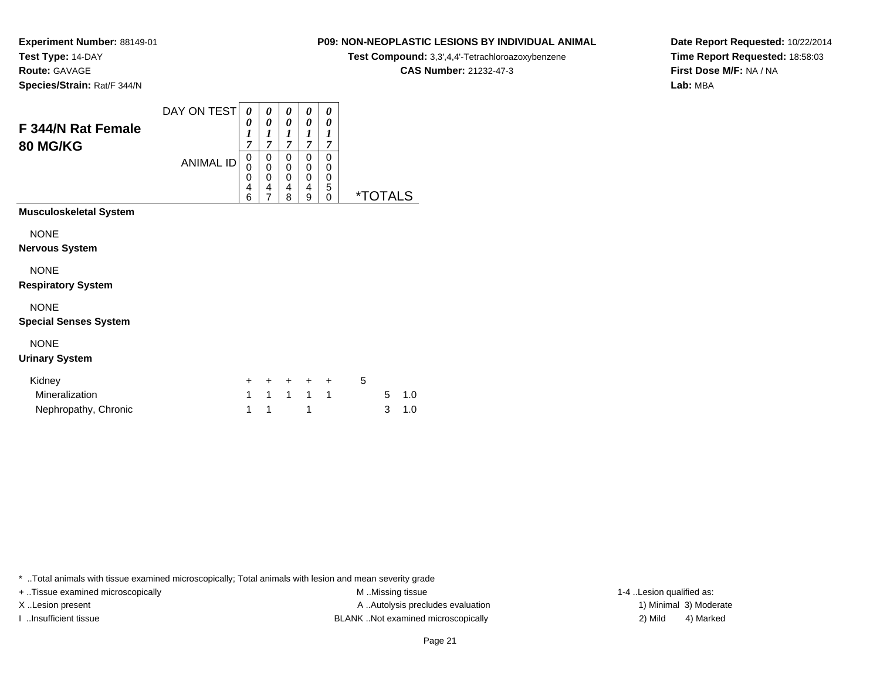**Experiment Number:** 88149-01**Test Type:** 14-DAY**Route:** GAVAGE

**Species/Strain:** Rat/F 344/N

# **P09: NON-NEOPLASTIC LESIONS BY INDIVIDUAL ANIMAL**

**Test Compound:** 3,3',4,4'-Tetrachloroazoxybenzene

**CAS Number:** 21232-47-3

**Date Report Requested:** 10/22/2014**Time Report Requested:** 18:58:03**First Dose M/F:** NA / NA**Lab:** MBA

| F 344/N Rat Female<br><b>80 MG/KG</b>                                 | DAY ON TEST      | 0<br>0<br>1<br>7 | 0<br>0<br>$\boldsymbol{l}$<br>7 | 0<br>0<br>1<br>7      | 0<br>0<br>1<br>7      | 0<br>0<br>7           |                       |
|-----------------------------------------------------------------------|------------------|------------------|---------------------------------|-----------------------|-----------------------|-----------------------|-----------------------|
|                                                                       | <b>ANIMAL ID</b> |                  | 0<br>0<br>0<br>4                | 0<br>0<br>0<br>4<br>8 | 0<br>0<br>0<br>4<br>9 | 0<br>0<br>0<br>5<br>0 | <i><b>*TOTALS</b></i> |
| <b>Musculoskeletal System</b><br><b>NONE</b><br><b>Nervous System</b> |                  |                  |                                 |                       |                       |                       |                       |
| <b>NONE</b><br><b>Respiratory System</b>                              |                  |                  |                                 |                       |                       |                       |                       |

NONE

### **Special Senses System**

### NONE

### **Urinary System**

| Kidney               |     | + + + + + |  | $\mathbf{h}$ |       |
|----------------------|-----|-----------|--|--------------|-------|
| Mineralization       |     | 1 1 1 1 1 |  |              | 5 1.0 |
| Nephropathy, Chronic | 1 1 |           |  |              | 3 1.0 |

\* ..Total animals with tissue examined microscopically; Total animals with lesion and mean severity grade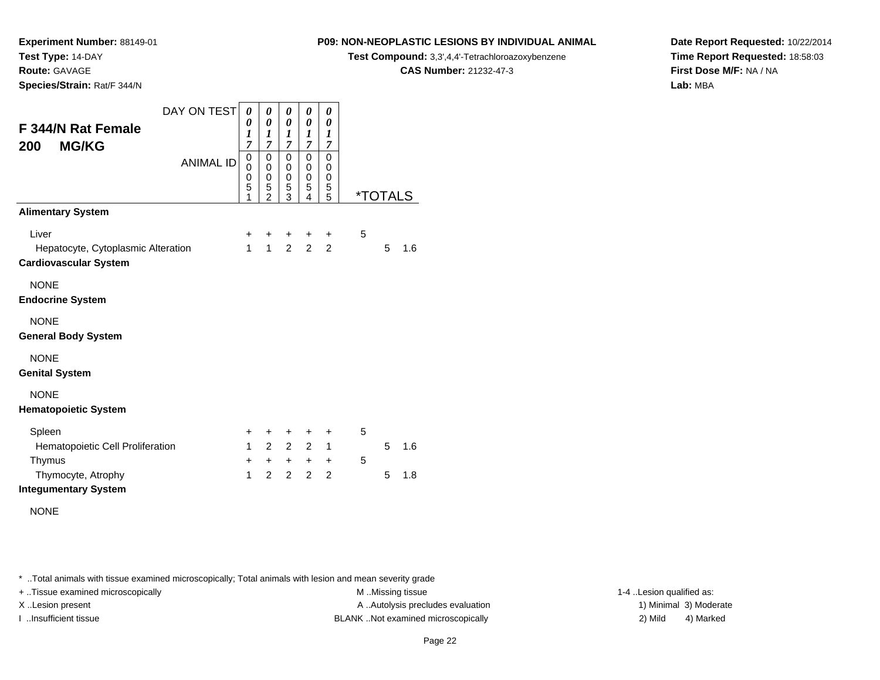**Route:** GAVAGE

**Species/Strain:** Rat/F 344/N

# **P09: NON-NEOPLASTIC LESIONS BY INDIVIDUAL ANIMAL**

**Test Compound:** 3,3',4,4'-Tetrachloroazoxybenzene

**CAS Number:** 21232-47-3

**Date Report Requested:** 10/22/2014**Time Report Requested:** 18:58:03**First Dose M/F:** NA / NA**Lab:** MBA

| F 344/N Rat Female<br><b>MG/KG</b><br>200                                   | DAY ON TEST      | $\boldsymbol{\theta}$<br>0<br>$\boldsymbol{l}$<br>$\overline{7}$ | 0<br>$\boldsymbol{\theta}$<br>$\boldsymbol{l}$<br>7  | 0<br>0<br>1<br>7                | 0<br>0<br>$\boldsymbol{l}$<br>7    | 0<br>$\boldsymbol{\theta}$<br>$\boldsymbol{l}$<br>$\overline{7}$ |   |                       |     |
|-----------------------------------------------------------------------------|------------------|------------------------------------------------------------------|------------------------------------------------------|---------------------------------|------------------------------------|------------------------------------------------------------------|---|-----------------------|-----|
|                                                                             | <b>ANIMAL ID</b> |                                                                  | $\mathbf 0$<br>$\pmb{0}$<br>$\,0\,$<br>$\frac{5}{2}$ | $\mathbf 0$<br>0<br>0<br>5<br>3 | 0<br>0<br>0<br>5<br>$\overline{4}$ | $\mathbf 0$<br>0<br>0<br>5<br>$\overline{5}$                     |   | <i><b>*TOTALS</b></i> |     |
| <b>Alimentary System</b>                                                    |                  |                                                                  |                                                      |                                 |                                    |                                                                  |   |                       |     |
| Liver<br>Hepatocyte, Cytoplasmic Alteration<br><b>Cardiovascular System</b> |                  | +<br>$\mathbf{1}$                                                | +<br>$\mathbf{1}$                                    | $\ddot{}$<br>$\overline{2}$     | +<br>$\overline{2}$                | ÷<br>$\overline{2}$                                              | 5 | 5                     | 1.6 |
| <b>NONE</b><br><b>Endocrine System</b>                                      |                  |                                                                  |                                                      |                                 |                                    |                                                                  |   |                       |     |
| <b>NONE</b><br><b>General Body System</b>                                   |                  |                                                                  |                                                      |                                 |                                    |                                                                  |   |                       |     |
| <b>NONE</b><br><b>Genital System</b>                                        |                  |                                                                  |                                                      |                                 |                                    |                                                                  |   |                       |     |
| <b>NONE</b><br><b>Hematopoietic System</b>                                  |                  |                                                                  |                                                      |                                 |                                    |                                                                  |   |                       |     |
| Spleen                                                                      |                  | +                                                                | +                                                    | $\ddot{}$                       | $\ddot{}$                          | ÷                                                                | 5 |                       |     |
| Hematopoietic Cell Proliferation                                            |                  | $\mathbf{1}$                                                     | $\overline{2}$                                       | $2^{\circ}$                     | $\overline{2}$                     | 1                                                                |   | 5                     | 1.6 |
| Thymus<br>Thymocyte, Atrophy<br><b>Integumentary System</b>                 |                  | +<br>1                                                           | $+$<br>$\mathcal{P}$                                 | $+$<br>$\overline{2}$           | $+$<br>$\overline{2}$              | $\ddot{}$<br>$\overline{2}$                                      | 5 | 5                     | 1.8 |
| <b>NONE</b>                                                                 |                  |                                                                  |                                                      |                                 |                                    |                                                                  |   |                       |     |

\* ..Total animals with tissue examined microscopically; Total animals with lesion and mean severity grade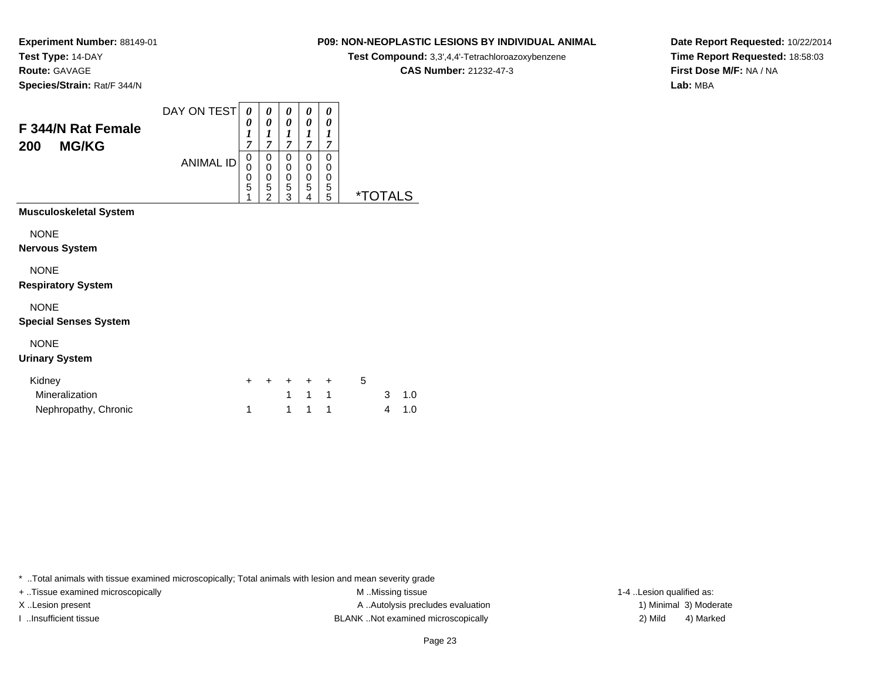**Route:** GAVAGE

**Species/Strain:** Rat/F 344/N

# **P09: NON-NEOPLASTIC LESIONS BY INDIVIDUAL ANIMAL**

**Test Compound:** 3,3',4,4'-Tetrachloroazoxybenzene

**CAS Number:** 21232-47-3

**Date Report Requested:** 10/22/2014**Time Report Requested:** 18:58:03**First Dose M/F:** NA / NA**Lab:** MBA

| F 344/N Rat Female<br><b>MG/KG</b><br>200   | DAY ON TEST      | 0<br>0<br>1<br>$\overline{7}$ | 0<br>0<br>$\boldsymbol{l}$<br>$\overline{7}$            | 0<br>0<br>1<br>7                       | 0<br>0<br>1<br>$\overline{7}$ | 0<br>0<br>1<br>7      |                       |
|---------------------------------------------|------------------|-------------------------------|---------------------------------------------------------|----------------------------------------|-------------------------------|-----------------------|-----------------------|
|                                             | <b>ANIMAL ID</b> | 0<br>0<br>0<br>5<br>1         | 0<br>$\bar{0}$<br>0<br>$\overline{5}$<br>$\overline{2}$ | 0<br>0<br>$\mathbf 0$<br>$\frac{5}{3}$ | 0<br>0<br>0<br>5<br>4         | 0<br>0<br>0<br>5<br>5 | <i><b>*TOTALS</b></i> |
| Musculoskeletal System                      |                  |                               |                                                         |                                        |                               |                       |                       |
| <b>NONE</b><br>Nervous System               |                  |                               |                                                         |                                        |                               |                       |                       |
| <b>NONE</b><br><b>Respiratory System</b>    |                  |                               |                                                         |                                        |                               |                       |                       |
| <b>NONE</b><br><b>Special Senses System</b> |                  |                               |                                                         |                                        |                               |                       |                       |
| <b>NONE</b><br><b>Urinary System</b>        |                  |                               |                                                         |                                        |                               |                       |                       |
| Kidney                                      |                  |                               |                                                         |                                        |                               | +                     | 5                     |

c and  $\sim$  1

\* ..Total animals with tissue examined microscopically; Total animals with lesion and mean severity grade

Mineralization

Nephropathy, Chronic

+ ..Tissue examined microscopically examined microscopically examined as:  $M$  ..Missing tissue 1-4 ..Lesion qualified as: X..Lesion present **A ..Autolysis precludes evaluation** A ..Autolysis precludes evaluation 1) Minimal 3) Moderate I ..Insufficient tissue BLANK ..Not examined microscopically 2) Mild 4) Marked

1 1 1 1 3 1.0<br>1 1 1 1 1 4 1.0

 $1 \quad 1 \quad 1$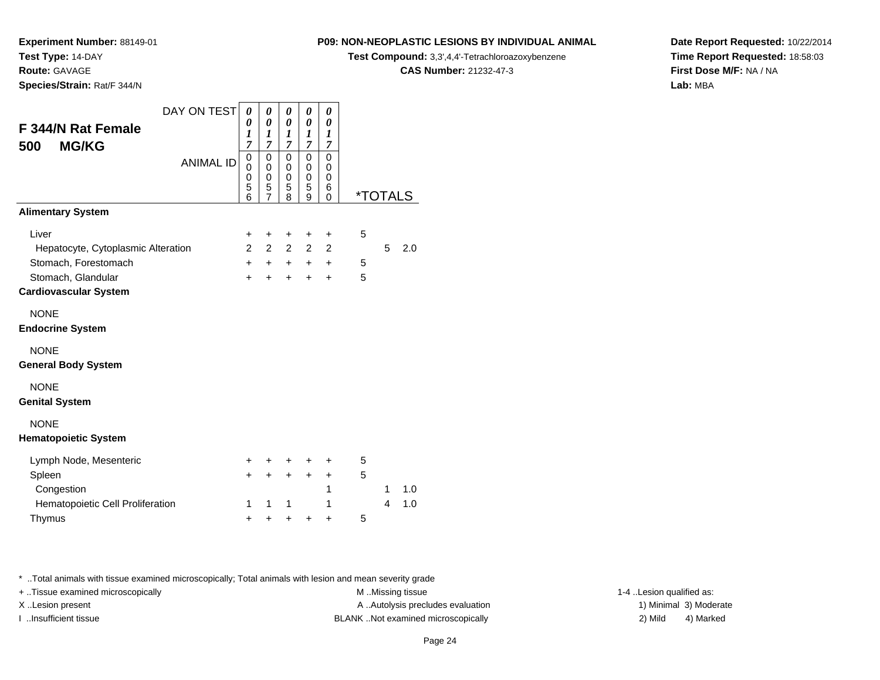**Route:** GAVAGE

**Species/Strain:** Rat/F 344/N

# **P09: NON-NEOPLASTIC LESIONS BY INDIVIDUAL ANIMAL**

**Test Compound:** 3,3',4,4'-Tetrachloroazoxybenzene

**CAS Number:** 21232-47-3

**Date Report Requested:** 10/22/2014**Time Report Requested:** 18:58:03**First Dose M/F:** NA / NA**Lab:** MBA

| F 344/N Rat Female<br><b>MG/KG</b><br>500          | DAY ON TEST      | 0<br>0<br>1<br>$\overline{7}$ | 0<br>0<br>$\boldsymbol{l}$<br>$\overline{7}$ | 0<br>$\boldsymbol{\theta}$<br>$\boldsymbol{l}$<br>$\overline{7}$ | 0<br>0<br>1<br>$\overline{7}$ | 0<br>0<br>$\boldsymbol{l}$<br>$\overline{7}$ |                       |   |     |
|----------------------------------------------------|------------------|-------------------------------|----------------------------------------------|------------------------------------------------------------------|-------------------------------|----------------------------------------------|-----------------------|---|-----|
|                                                    | <b>ANIMAL ID</b> | 0<br>0<br>0<br>5<br>6         | $\mathbf 0$<br>0<br>0<br>5<br>$\overline{7}$ | 0<br>0<br>0<br>5<br>8                                            | 0<br>0<br>0<br>5<br>9         | $\mathbf 0$<br>0<br>0<br>6<br>0              | <i><b>*TOTALS</b></i> |   |     |
| <b>Alimentary System</b>                           |                  |                               |                                              |                                                                  |                               |                                              |                       |   |     |
| Liver                                              |                  | +                             | +                                            | +                                                                | +                             | $\ddot{}$                                    | 5                     |   |     |
| Hepatocyte, Cytoplasmic Alteration                 |                  | $\mathcal{P}$                 | $\overline{2}$                               | $\overline{2}$                                                   | $\overline{2}$                | $\overline{2}$                               |                       | 5 | 2.0 |
| Stomach, Forestomach                               |                  | $+$                           | $+$                                          | $+$                                                              | $+$                           | $\ddot{}$                                    | 5                     |   |     |
| Stomach, Glandular<br><b>Cardiovascular System</b> |                  | $\ddot{}$                     | $\ddot{}$                                    | $\ddot{}$                                                        | $\ddot{}$                     | $\ddot{}$                                    | 5                     |   |     |
| <b>NONE</b><br><b>Endocrine System</b>             |                  |                               |                                              |                                                                  |                               |                                              |                       |   |     |
| <b>NONE</b><br><b>General Body System</b>          |                  |                               |                                              |                                                                  |                               |                                              |                       |   |     |
| <b>NONE</b><br><b>Genital System</b>               |                  |                               |                                              |                                                                  |                               |                                              |                       |   |     |
| <b>NONE</b><br><b>Hematopoietic System</b>         |                  |                               |                                              |                                                                  |                               |                                              |                       |   |     |
| Lymph Node, Mesenteric                             |                  | $\ddot{}$                     | ÷                                            | ÷                                                                | ÷                             | ÷                                            | 5                     |   |     |
| Spleen                                             |                  | $\ddot{}$                     | $\ddot{}$                                    | $\ddot{}$                                                        | $\ddot{}$                     | $\ddot{}$                                    | 5                     |   |     |
| Congestion                                         |                  |                               |                                              |                                                                  |                               | 1                                            |                       | 1 | 1.0 |
| Hematopoietic Cell Proliferation                   |                  | 1                             | 1                                            | 1                                                                |                               | 1                                            |                       | 4 | 1.0 |
| Thymus                                             |                  | +                             | +                                            | +                                                                | +                             | +                                            | 5                     |   |     |

\* ..Total animals with tissue examined microscopically; Total animals with lesion and mean severity grade